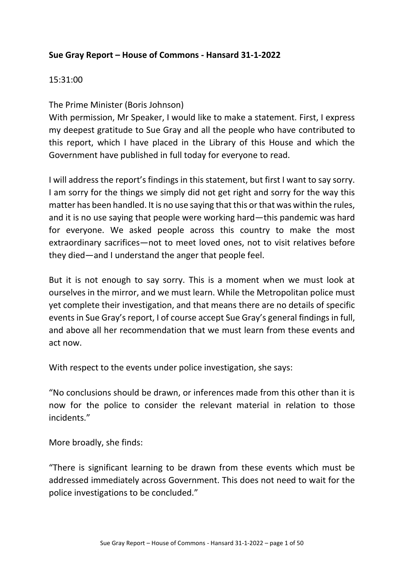### **Sue Gray Report – House of Commons - Hansard 31-1-2022**

#### 15:31:00

The Prime Minister (Boris Johnson)

With permission, Mr Speaker, I would like to make a statement. First, I express my deepest gratitude to Sue Gray and all the people who have contributed to this report, which I have placed in the Library of this House and which the Government have published in full today for everyone to read.

I will address the report's findings in this statement, but first I want to say sorry. I am sorry for the things we simply did not get right and sorry for the way this matter has been handled. It is no use saying that this or that was within the rules, and it is no use saying that people were working hard—this pandemic was hard for everyone. We asked people across this country to make the most extraordinary sacrifices—not to meet loved ones, not to visit relatives before they died—and I understand the anger that people feel.

But it is not enough to say sorry. This is a moment when we must look at ourselves in the mirror, and we must learn. While the Metropolitan police must yet complete their investigation, and that means there are no details of specific events in Sue Gray's report, I of course accept Sue Gray's general findings in full, and above all her recommendation that we must learn from these events and act now.

With respect to the events under police investigation, she says:

"No conclusions should be drawn, or inferences made from this other than it is now for the police to consider the relevant material in relation to those incidents."

More broadly, she finds:

"There is significant learning to be drawn from these events which must be addressed immediately across Government. This does not need to wait for the police investigations to be concluded."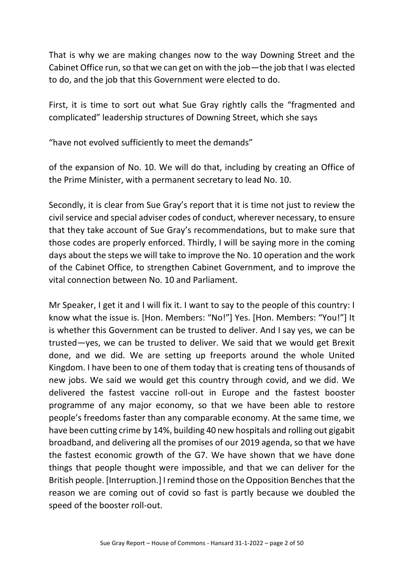That is why we are making changes now to the way Downing Street and the Cabinet Office run, so that we can get on with the job—the job that I was elected to do, and the job that this Government were elected to do.

First, it is time to sort out what Sue Gray rightly calls the "fragmented and complicated" leadership structures of Downing Street, which she says

"have not evolved sufficiently to meet the demands"

of the expansion of No. 10. We will do that, including by creating an Office of the Prime Minister, with a permanent secretary to lead No. 10.

Secondly, it is clear from Sue Gray's report that it is time not just to review the civil service and special adviser codes of conduct, wherever necessary, to ensure that they take account of Sue Gray's recommendations, but to make sure that those codes are properly enforced. Thirdly, I will be saying more in the coming days about the steps we will take to improve the No. 10 operation and the work of the Cabinet Office, to strengthen Cabinet Government, and to improve the vital connection between No. 10 and Parliament.

Mr Speaker, I get it and I will fix it. I want to say to the people of this country: I know what the issue is. [Hon. Members: "No!"] Yes. [Hon. Members: "You!"] It is whether this Government can be trusted to deliver. And I say yes, we can be trusted—yes, we can be trusted to deliver. We said that we would get Brexit done, and we did. We are setting up freeports around the whole United Kingdom. I have been to one of them today that is creating tens of thousands of new jobs. We said we would get this country through covid, and we did. We delivered the fastest vaccine roll-out in Europe and the fastest booster programme of any major economy, so that we have been able to restore people's freedoms faster than any comparable economy. At the same time, we have been cutting crime by 14%, building 40 new hospitals and rolling out gigabit broadband, and delivering all the promises of our 2019 agenda, so that we have the fastest economic growth of the G7. We have shown that we have done things that people thought were impossible, and that we can deliver for the British people. [Interruption.] I remind those on the Opposition Benches that the reason we are coming out of covid so fast is partly because we doubled the speed of the booster roll-out.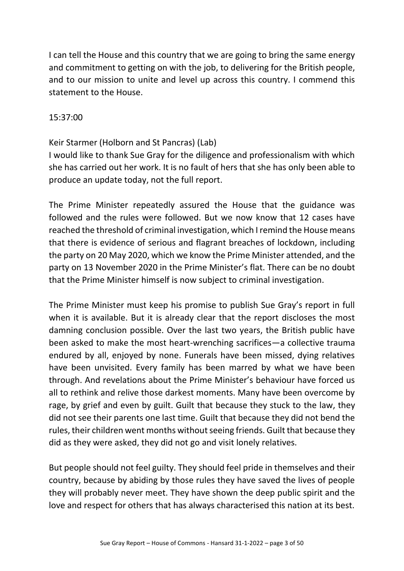I can tell the House and this country that we are going to bring the same energy and commitment to getting on with the job, to delivering for the British people, and to our mission to unite and level up across this country. I commend this statement to the House.

#### 15:37:00

### Keir Starmer (Holborn and St Pancras) (Lab)

I would like to thank Sue Gray for the diligence and professionalism with which she has carried out her work. It is no fault of hers that she has only been able to produce an update today, not the full report.

The Prime Minister repeatedly assured the House that the guidance was followed and the rules were followed. But we now know that 12 cases have reached the threshold of criminal investigation, which I remind the House means that there is evidence of serious and flagrant breaches of lockdown, including the party on 20 May 2020, which we know the Prime Minister attended, and the party on 13 November 2020 in the Prime Minister's flat. There can be no doubt that the Prime Minister himself is now subject to criminal investigation.

The Prime Minister must keep his promise to publish Sue Gray's report in full when it is available. But it is already clear that the report discloses the most damning conclusion possible. Over the last two years, the British public have been asked to make the most heart-wrenching sacrifices—a collective trauma endured by all, enjoyed by none. Funerals have been missed, dying relatives have been unvisited. Every family has been marred by what we have been through. And revelations about the Prime Minister's behaviour have forced us all to rethink and relive those darkest moments. Many have been overcome by rage, by grief and even by guilt. Guilt that because they stuck to the law, they did not see their parents one last time. Guilt that because they did not bend the rules, their children went months without seeing friends. Guilt that because they did as they were asked, they did not go and visit lonely relatives.

But people should not feel guilty. They should feel pride in themselves and their country, because by abiding by those rules they have saved the lives of people they will probably never meet. They have shown the deep public spirit and the love and respect for others that has always characterised this nation at its best.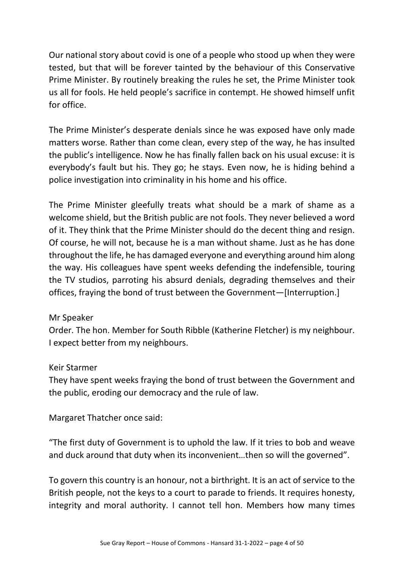Our national story about covid is one of a people who stood up when they were tested, but that will be forever tainted by the behaviour of this Conservative Prime Minister. By routinely breaking the rules he set, the Prime Minister took us all for fools. He held people's sacrifice in contempt. He showed himself unfit for office.

The Prime Minister's desperate denials since he was exposed have only made matters worse. Rather than come clean, every step of the way, he has insulted the public's intelligence. Now he has finally fallen back on his usual excuse: it is everybody's fault but his. They go; he stays. Even now, he is hiding behind a police investigation into criminality in his home and his office.

The Prime Minister gleefully treats what should be a mark of shame as a welcome shield, but the British public are not fools. They never believed a word of it. They think that the Prime Minister should do the decent thing and resign. Of course, he will not, because he is a man without shame. Just as he has done throughout the life, he has damaged everyone and everything around him along the way. His colleagues have spent weeks defending the indefensible, touring the TV studios, parroting his absurd denials, degrading themselves and their offices, fraying the bond of trust between the Government—[Interruption.]

### Mr Speaker

Order. The hon. Member for South Ribble (Katherine Fletcher) is my neighbour. I expect better from my neighbours.

#### Keir Starmer

They have spent weeks fraying the bond of trust between the Government and the public, eroding our democracy and the rule of law.

Margaret Thatcher once said:

"The first duty of Government is to uphold the law. If it tries to bob and weave and duck around that duty when its inconvenient…then so will the governed".

To govern this country is an honour, not a birthright. It is an act of service to the British people, not the keys to a court to parade to friends. It requires honesty, integrity and moral authority. I cannot tell hon. Members how many times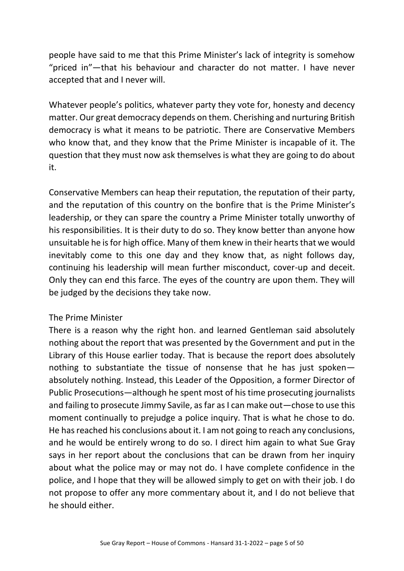people have said to me that this Prime Minister's lack of integrity is somehow "priced in"—that his behaviour and character do not matter. I have never accepted that and I never will.

Whatever people's politics, whatever party they vote for, honesty and decency matter. Our great democracy depends on them. Cherishing and nurturing British democracy is what it means to be patriotic. There are Conservative Members who know that, and they know that the Prime Minister is incapable of it. The question that they must now ask themselves is what they are going to do about it.

Conservative Members can heap their reputation, the reputation of their party, and the reputation of this country on the bonfire that is the Prime Minister's leadership, or they can spare the country a Prime Minister totally unworthy of his responsibilities. It is their duty to do so. They know better than anyone how unsuitable he is for high office. Many of them knew in their hearts that we would inevitably come to this one day and they know that, as night follows day, continuing his leadership will mean further misconduct, cover-up and deceit. Only they can end this farce. The eyes of the country are upon them. They will be judged by the decisions they take now.

#### The Prime Minister

There is a reason why the right hon. and learned Gentleman said absolutely nothing about the report that was presented by the Government and put in the Library of this House earlier today. That is because the report does absolutely nothing to substantiate the tissue of nonsense that he has just spoken absolutely nothing. Instead, this Leader of the Opposition, a former Director of Public Prosecutions—although he spent most of his time prosecuting journalists and failing to prosecute Jimmy Savile, as far as I can make out—chose to use this moment continually to prejudge a police inquiry. That is what he chose to do. He has reached his conclusions about it. I am not going to reach any conclusions, and he would be entirely wrong to do so. I direct him again to what Sue Gray says in her report about the conclusions that can be drawn from her inquiry about what the police may or may not do. I have complete confidence in the police, and I hope that they will be allowed simply to get on with their job. I do not propose to offer any more commentary about it, and I do not believe that he should either.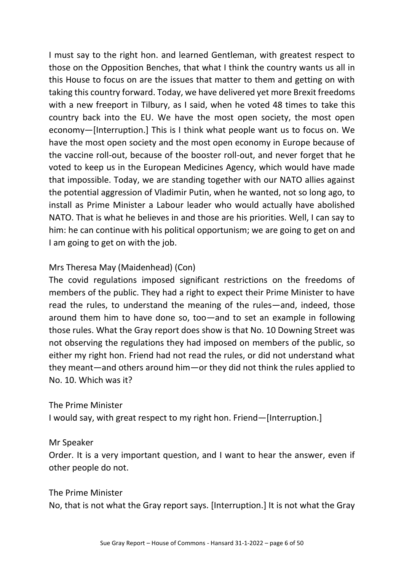I must say to the right hon. and learned Gentleman, with greatest respect to those on the Opposition Benches, that what I think the country wants us all in this House to focus on are the issues that matter to them and getting on with taking this country forward. Today, we have delivered yet more Brexit freedoms with a new freeport in Tilbury, as I said, when he voted 48 times to take this country back into the EU. We have the most open society, the most open economy—[Interruption.] This is I think what people want us to focus on. We have the most open society and the most open economy in Europe because of the vaccine roll-out, because of the booster roll-out, and never forget that he voted to keep us in the European Medicines Agency, which would have made that impossible. Today, we are standing together with our NATO allies against the potential aggression of Vladimir Putin, when he wanted, not so long ago, to install as Prime Minister a Labour leader who would actually have abolished NATO. That is what he believes in and those are his priorities. Well, I can say to him: he can continue with his political opportunism; we are going to get on and I am going to get on with the job.

## Mrs Theresa May (Maidenhead) (Con)

The covid regulations imposed significant restrictions on the freedoms of members of the public. They had a right to expect their Prime Minister to have read the rules, to understand the meaning of the rules—and, indeed, those around them him to have done so, too—and to set an example in following those rules. What the Gray report does show is that No. 10 Downing Street was not observing the regulations they had imposed on members of the public, so either my right hon. Friend had not read the rules, or did not understand what they meant—and others around him—or they did not think the rules applied to No. 10. Which was it?

### The Prime Minister

I would say, with great respect to my right hon. Friend—[Interruption.]

### Mr Speaker

Order. It is a very important question, and I want to hear the answer, even if other people do not.

The Prime Minister No, that is not what the Gray report says. [Interruption.] It is not what the Gray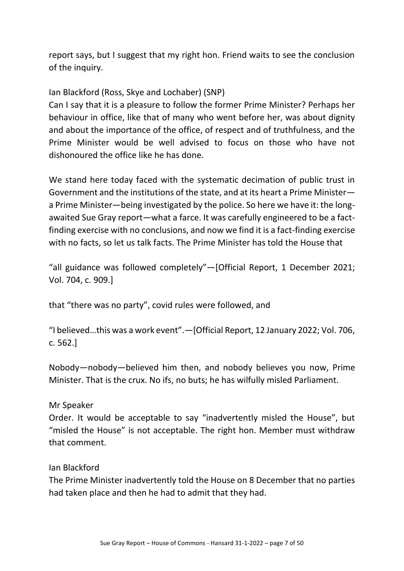report says, but I suggest that my right hon. Friend waits to see the conclusion of the inquiry.

## Ian Blackford (Ross, Skye and Lochaber) (SNP)

Can I say that it is a pleasure to follow the former Prime Minister? Perhaps her behaviour in office, like that of many who went before her, was about dignity and about the importance of the office, of respect and of truthfulness, and the Prime Minister would be well advised to focus on those who have not dishonoured the office like he has done.

We stand here today faced with the systematic decimation of public trust in Government and the institutions of the state, and at its heart a Prime Minister a Prime Minister—being investigated by the police. So here we have it: the longawaited Sue Gray report—what a farce. It was carefully engineered to be a factfinding exercise with no conclusions, and now we find it is a fact-finding exercise with no facts, so let us talk facts. The Prime Minister has told the House that

"all guidance was followed completely"—[Official Report, 1 December 2021; Vol. 704, c. 909.]

that "there was no party", covid rules were followed, and

"I believed…this was a work event".—[Official Report, 12 January 2022; Vol. 706, c. 562.]

Nobody—nobody—believed him then, and nobody believes you now, Prime Minister. That is the crux. No ifs, no buts; he has wilfully misled Parliament.

### Mr Speaker

Order. It would be acceptable to say "inadvertently misled the House", but "misled the House" is not acceptable. The right hon. Member must withdraw that comment.

### Ian Blackford

The Prime Minister inadvertently told the House on 8 December that no parties had taken place and then he had to admit that they had.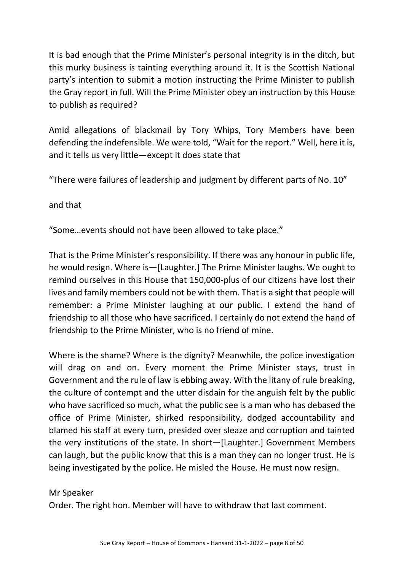It is bad enough that the Prime Minister's personal integrity is in the ditch, but this murky business is tainting everything around it. It is the Scottish National party's intention to submit a motion instructing the Prime Minister to publish the Gray report in full. Will the Prime Minister obey an instruction by this House to publish as required?

Amid allegations of blackmail by Tory Whips, Tory Members have been defending the indefensible. We were told, "Wait for the report." Well, here it is, and it tells us very little—except it does state that

"There were failures of leadership and judgment by different parts of No. 10"

and that

"Some…events should not have been allowed to take place."

That is the Prime Minister's responsibility. If there was any honour in public life, he would resign. Where is—[Laughter.] The Prime Minister laughs. We ought to remind ourselves in this House that 150,000-plus of our citizens have lost their lives and family members could not be with them. That is a sight that people will remember: a Prime Minister laughing at our public. I extend the hand of friendship to all those who have sacrificed. I certainly do not extend the hand of friendship to the Prime Minister, who is no friend of mine.

Where is the shame? Where is the dignity? Meanwhile, the police investigation will drag on and on. Every moment the Prime Minister stays, trust in Government and the rule of law is ebbing away. With the litany of rule breaking, the culture of contempt and the utter disdain for the anguish felt by the public who have sacrificed so much, what the public see is a man who has debased the office of Prime Minister, shirked responsibility, dodged accountability and blamed his staff at every turn, presided over sleaze and corruption and tainted the very institutions of the state. In short—[Laughter.] Government Members can laugh, but the public know that this is a man they can no longer trust. He is being investigated by the police. He misled the House. He must now resign.

### Mr Speaker

Order. The right hon. Member will have to withdraw that last comment.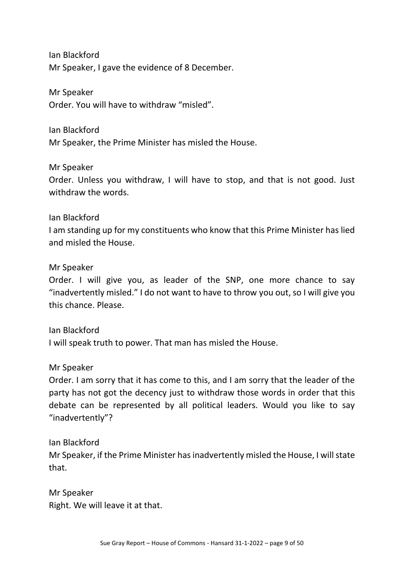Ian Blackford Mr Speaker, I gave the evidence of 8 December.

Mr Speaker Order. You will have to withdraw "misled".

Ian Blackford Mr Speaker, the Prime Minister has misled the House.

Mr Speaker

Order. Unless you withdraw, I will have to stop, and that is not good. Just withdraw the words.

Ian Blackford

I am standing up for my constituents who know that this Prime Minister has lied and misled the House.

Mr Speaker

Order. I will give you, as leader of the SNP, one more chance to say "inadvertently misled." I do not want to have to throw you out, so I will give you this chance. Please.

Ian Blackford I will speak truth to power. That man has misled the House.

Mr Speaker

Order. I am sorry that it has come to this, and I am sorry that the leader of the party has not got the decency just to withdraw those words in order that this debate can be represented by all political leaders. Would you like to say "inadvertently"?

Ian Blackford

Mr Speaker, if the Prime Minister has inadvertently misled the House, I will state that.

Mr Speaker Right. We will leave it at that.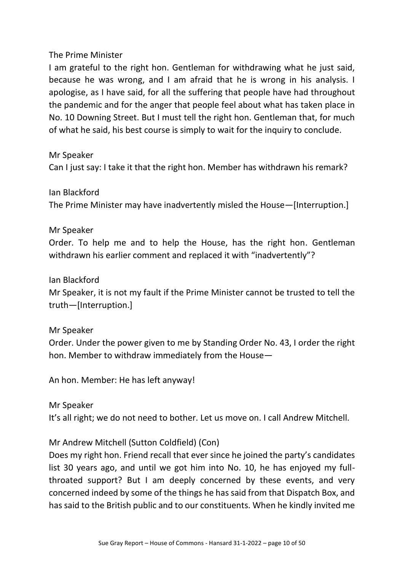I am grateful to the right hon. Gentleman for withdrawing what he just said, because he was wrong, and I am afraid that he is wrong in his analysis. I apologise, as I have said, for all the suffering that people have had throughout the pandemic and for the anger that people feel about what has taken place in No. 10 Downing Street. But I must tell the right hon. Gentleman that, for much of what he said, his best course is simply to wait for the inquiry to conclude.

Mr Speaker

Can I just say: I take it that the right hon. Member has withdrawn his remark?

Ian Blackford

The Prime Minister may have inadvertently misled the House—[Interruption.]

### Mr Speaker

Order. To help me and to help the House, has the right hon. Gentleman withdrawn his earlier comment and replaced it with "inadvertently"?

Ian Blackford

Mr Speaker, it is not my fault if the Prime Minister cannot be trusted to tell the truth—[Interruption.]

Mr Speaker

Order. Under the power given to me by Standing Order No. 43, I order the right hon. Member to withdraw immediately from the House—

An hon. Member: He has left anyway!

Mr Speaker It's all right; we do not need to bother. Let us move on. I call Andrew Mitchell.

Mr Andrew Mitchell (Sutton Coldfield) (Con)

Does my right hon. Friend recall that ever since he joined the party's candidates list 30 years ago, and until we got him into No. 10, he has enjoyed my fullthroated support? But I am deeply concerned by these events, and very concerned indeed by some of the things he has said from that Dispatch Box, and has said to the British public and to our constituents. When he kindly invited me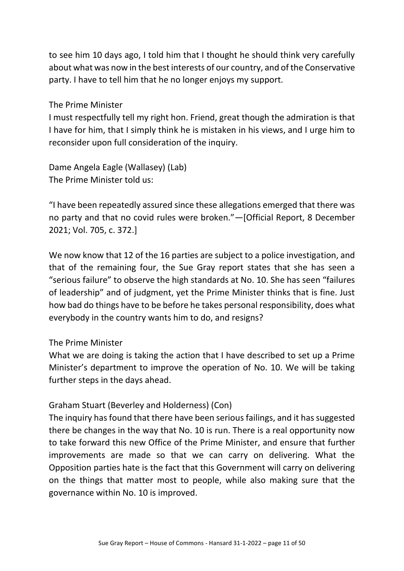to see him 10 days ago, I told him that I thought he should think very carefully about what was now in the best interests of our country, and of the Conservative party. I have to tell him that he no longer enjoys my support.

The Prime Minister

I must respectfully tell my right hon. Friend, great though the admiration is that I have for him, that I simply think he is mistaken in his views, and I urge him to reconsider upon full consideration of the inquiry.

Dame Angela Eagle (Wallasey) (Lab) The Prime Minister told us:

"I have been repeatedly assured since these allegations emerged that there was no party and that no covid rules were broken."—[Official Report, 8 December 2021; Vol. 705, c. 372.]

We now know that 12 of the 16 parties are subject to a police investigation, and that of the remaining four, the Sue Gray report states that she has seen a "serious failure" to observe the high standards at No. 10. She has seen "failures of leadership" and of judgment, yet the Prime Minister thinks that is fine. Just how bad do things have to be before he takes personal responsibility, does what everybody in the country wants him to do, and resigns?

### The Prime Minister

What we are doing is taking the action that I have described to set up a Prime Minister's department to improve the operation of No. 10. We will be taking further steps in the days ahead.

### Graham Stuart (Beverley and Holderness) (Con)

The inquiry has found that there have been serious failings, and it has suggested there be changes in the way that No. 10 is run. There is a real opportunity now to take forward this new Office of the Prime Minister, and ensure that further improvements are made so that we can carry on delivering. What the Opposition parties hate is the fact that this Government will carry on delivering on the things that matter most to people, while also making sure that the governance within No. 10 is improved.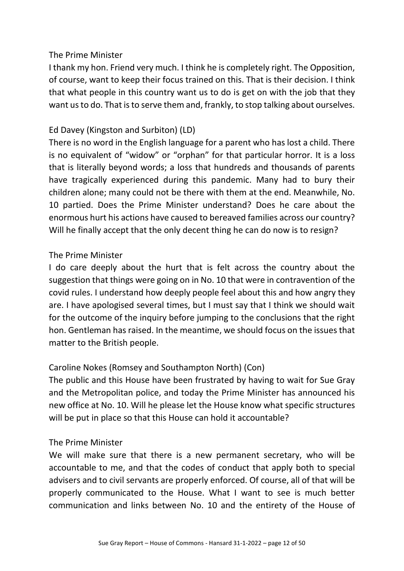I thank my hon. Friend very much. I think he is completely right. The Opposition, of course, want to keep their focus trained on this. That is their decision. I think that what people in this country want us to do is get on with the job that they want us to do. That is to serve them and, frankly, to stop talking about ourselves.

## Ed Davey (Kingston and Surbiton) (LD)

There is no word in the English language for a parent who has lost a child. There is no equivalent of "widow" or "orphan" for that particular horror. It is a loss that is literally beyond words; a loss that hundreds and thousands of parents have tragically experienced during this pandemic. Many had to bury their children alone; many could not be there with them at the end. Meanwhile, No. 10 partied. Does the Prime Minister understand? Does he care about the enormous hurt his actions have caused to bereaved families across our country? Will he finally accept that the only decent thing he can do now is to resign?

### The Prime Minister

I do care deeply about the hurt that is felt across the country about the suggestion that things were going on in No. 10 that were in contravention of the covid rules. I understand how deeply people feel about this and how angry they are. I have apologised several times, but I must say that I think we should wait for the outcome of the inquiry before jumping to the conclusions that the right hon. Gentleman has raised. In the meantime, we should focus on the issues that matter to the British people.

### Caroline Nokes (Romsey and Southampton North) (Con)

The public and this House have been frustrated by having to wait for Sue Gray and the Metropolitan police, and today the Prime Minister has announced his new office at No. 10. Will he please let the House know what specific structures will be put in place so that this House can hold it accountable?

### The Prime Minister

We will make sure that there is a new permanent secretary, who will be accountable to me, and that the codes of conduct that apply both to special advisers and to civil servants are properly enforced. Of course, all of that will be properly communicated to the House. What I want to see is much better communication and links between No. 10 and the entirety of the House of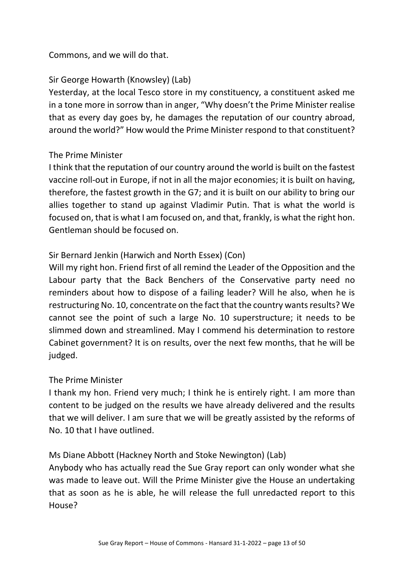## Commons, and we will do that.

## Sir George Howarth (Knowsley) (Lab)

Yesterday, at the local Tesco store in my constituency, a constituent asked me in a tone more in sorrow than in anger, "Why doesn't the Prime Minister realise that as every day goes by, he damages the reputation of our country abroad, around the world?" How would the Prime Minister respond to that constituent?

### The Prime Minister

I think that the reputation of our country around the world is built on the fastest vaccine roll-out in Europe, if not in all the major economies; it is built on having, therefore, the fastest growth in the G7; and it is built on our ability to bring our allies together to stand up against Vladimir Putin. That is what the world is focused on, that is what I am focused on, and that, frankly, is what the right hon. Gentleman should be focused on.

## Sir Bernard Jenkin (Harwich and North Essex) (Con)

Will my right hon. Friend first of all remind the Leader of the Opposition and the Labour party that the Back Benchers of the Conservative party need no reminders about how to dispose of a failing leader? Will he also, when he is restructuring No. 10, concentrate on the fact that the country wants results? We cannot see the point of such a large No. 10 superstructure; it needs to be slimmed down and streamlined. May I commend his determination to restore Cabinet government? It is on results, over the next few months, that he will be judged.

### The Prime Minister

I thank my hon. Friend very much; I think he is entirely right. I am more than content to be judged on the results we have already delivered and the results that we will deliver. I am sure that we will be greatly assisted by the reforms of No. 10 that I have outlined.

### Ms Diane Abbott (Hackney North and Stoke Newington) (Lab)

Anybody who has actually read the Sue Gray report can only wonder what she was made to leave out. Will the Prime Minister give the House an undertaking that as soon as he is able, he will release the full unredacted report to this House?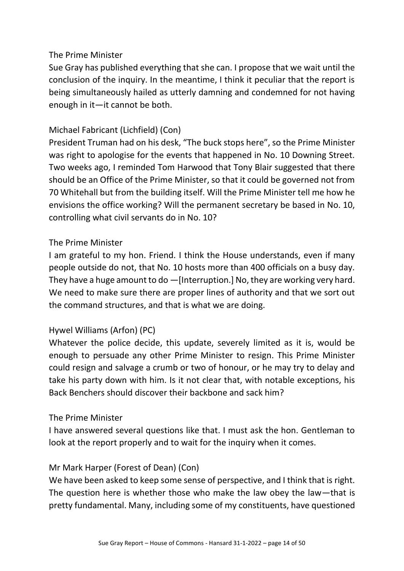Sue Gray has published everything that she can. I propose that we wait until the conclusion of the inquiry. In the meantime, I think it peculiar that the report is being simultaneously hailed as utterly damning and condemned for not having enough in it—it cannot be both.

## Michael Fabricant (Lichfield) (Con)

President Truman had on his desk, "The buck stops here", so the Prime Minister was right to apologise for the events that happened in No. 10 Downing Street. Two weeks ago, I reminded Tom Harwood that Tony Blair suggested that there should be an Office of the Prime Minister, so that it could be governed not from 70 Whitehall but from the building itself. Will the Prime Minister tell me how he envisions the office working? Will the permanent secretary be based in No. 10, controlling what civil servants do in No. 10?

### The Prime Minister

I am grateful to my hon. Friend. I think the House understands, even if many people outside do not, that No. 10 hosts more than 400 officials on a busy day. They have a huge amount to do —[Interruption.] No, they are working very hard. We need to make sure there are proper lines of authority and that we sort out the command structures, and that is what we are doing.

### Hywel Williams (Arfon) (PC)

Whatever the police decide, this update, severely limited as it is, would be enough to persuade any other Prime Minister to resign. This Prime Minister could resign and salvage a crumb or two of honour, or he may try to delay and take his party down with him. Is it not clear that, with notable exceptions, his Back Benchers should discover their backbone and sack him?

### The Prime Minister

I have answered several questions like that. I must ask the hon. Gentleman to look at the report properly and to wait for the inquiry when it comes.

### Mr Mark Harper (Forest of Dean) (Con)

We have been asked to keep some sense of perspective, and I think that is right. The question here is whether those who make the law obey the law—that is pretty fundamental. Many, including some of my constituents, have questioned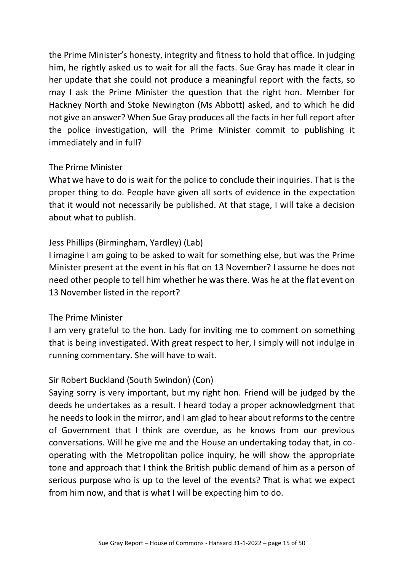the Prime Minister's honesty, integrity and fitness to hold that office. In judging him, he rightly asked us to wait for all the facts. Sue Gray has made it clear in her update that she could not produce a meaningful report with the facts, so may I ask the Prime Minister the question that the right hon. Member for Hackney North and Stoke Newington (Ms Abbott) asked, and to which he did not give an answer? When Sue Gray produces all the facts in her full report after the police investigation, will the Prime Minister commit to publishing it immediately and in full?

### The Prime Minister

What we have to do is wait for the police to conclude their inquiries. That is the proper thing to do. People have given all sorts of evidence in the expectation that it would not necessarily be published. At that stage, I will take a decision about what to publish.

## Jess Phillips (Birmingham, Yardley) (Lab)

I imagine I am going to be asked to wait for something else, but was the Prime Minister present at the event in his flat on 13 November? I assume he does not need other people to tell him whether he was there. Was he at the flat event on 13 November listed in the report?

### The Prime Minister

I am very grateful to the hon. Lady for inviting me to comment on something that is being investigated. With great respect to her, I simply will not indulge in running commentary. She will have to wait.

### Sir Robert Buckland (South Swindon) (Con)

Saying sorry is very important, but my right hon. Friend will be judged by the deeds he undertakes as a result. I heard today a proper acknowledgment that he needs to look in the mirror, and I am glad to hear about reforms to the centre of Government that I think are overdue, as he knows from our previous conversations. Will he give me and the House an undertaking today that, in cooperating with the Metropolitan police inquiry, he will show the appropriate tone and approach that I think the British public demand of him as a person of serious purpose who is up to the level of the events? That is what we expect from him now, and that is what I will be expecting him to do.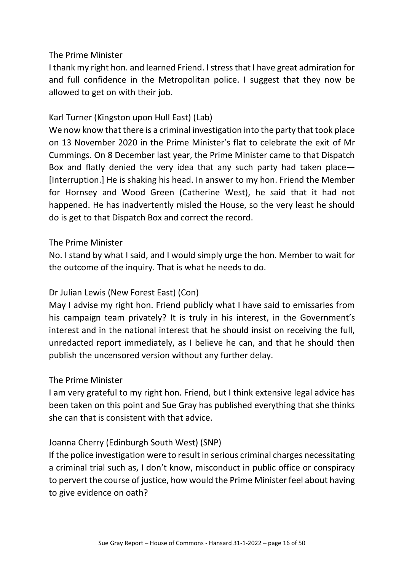I thank my right hon. and learned Friend. I stress that I have great admiration for and full confidence in the Metropolitan police. I suggest that they now be allowed to get on with their job.

### Karl Turner (Kingston upon Hull East) (Lab)

We now know that there is a criminal investigation into the party that took place on 13 November 2020 in the Prime Minister's flat to celebrate the exit of Mr Cummings. On 8 December last year, the Prime Minister came to that Dispatch Box and flatly denied the very idea that any such party had taken place— [Interruption.] He is shaking his head. In answer to my hon. Friend the Member for Hornsey and Wood Green (Catherine West), he said that it had not happened. He has inadvertently misled the House, so the very least he should do is get to that Dispatch Box and correct the record.

#### The Prime Minister

No. I stand by what I said, and I would simply urge the hon. Member to wait for the outcome of the inquiry. That is what he needs to do.

### Dr Julian Lewis (New Forest East) (Con)

May I advise my right hon. Friend publicly what I have said to emissaries from his campaign team privately? It is truly in his interest, in the Government's interest and in the national interest that he should insist on receiving the full, unredacted report immediately, as I believe he can, and that he should then publish the uncensored version without any further delay.

#### The Prime Minister

I am very grateful to my right hon. Friend, but I think extensive legal advice has been taken on this point and Sue Gray has published everything that she thinks she can that is consistent with that advice.

### Joanna Cherry (Edinburgh South West) (SNP)

If the police investigation were to result in serious criminal charges necessitating a criminal trial such as, I don't know, misconduct in public office or conspiracy to pervert the course of justice, how would the Prime Minister feel about having to give evidence on oath?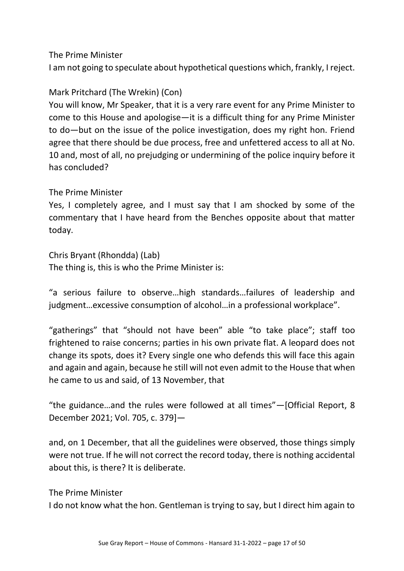I am not going to speculate about hypothetical questions which, frankly, I reject.

## Mark Pritchard (The Wrekin) (Con)

You will know, Mr Speaker, that it is a very rare event for any Prime Minister to come to this House and apologise—it is a difficult thing for any Prime Minister to do—but on the issue of the police investigation, does my right hon. Friend agree that there should be due process, free and unfettered access to all at No. 10 and, most of all, no prejudging or undermining of the police inquiry before it has concluded?

### The Prime Minister

Yes, I completely agree, and I must say that I am shocked by some of the commentary that I have heard from the Benches opposite about that matter today.

## Chris Bryant (Rhondda) (Lab)

The thing is, this is who the Prime Minister is:

"a serious failure to observe…high standards…failures of leadership and judgment…excessive consumption of alcohol…in a professional workplace".

"gatherings" that "should not have been" able "to take place"; staff too frightened to raise concerns; parties in his own private flat. A leopard does not change its spots, does it? Every single one who defends this will face this again and again and again, because he still will not even admit to the House that when he came to us and said, of 13 November, that

"the guidance…and the rules were followed at all times"—[Official Report, 8 December 2021; Vol. 705, c. 379]—

and, on 1 December, that all the guidelines were observed, those things simply were not true. If he will not correct the record today, there is nothing accidental about this, is there? It is deliberate.

#### The Prime Minister

I do not know what the hon. Gentleman is trying to say, but I direct him again to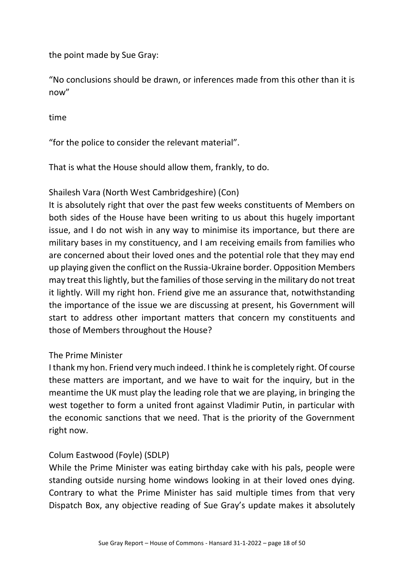the point made by Sue Gray:

"No conclusions should be drawn, or inferences made from this other than it is now"

time

"for the police to consider the relevant material".

That is what the House should allow them, frankly, to do.

### Shailesh Vara (North West Cambridgeshire) (Con)

It is absolutely right that over the past few weeks constituents of Members on both sides of the House have been writing to us about this hugely important issue, and I do not wish in any way to minimise its importance, but there are military bases in my constituency, and I am receiving emails from families who are concerned about their loved ones and the potential role that they may end up playing given the conflict on the Russia-Ukraine border. Opposition Members may treat this lightly, but the families of those serving in the military do not treat it lightly. Will my right hon. Friend give me an assurance that, notwithstanding the importance of the issue we are discussing at present, his Government will start to address other important matters that concern my constituents and those of Members throughout the House?

### The Prime Minister

I thank my hon. Friend very much indeed. I think he is completely right. Of course these matters are important, and we have to wait for the inquiry, but in the meantime the UK must play the leading role that we are playing, in bringing the west together to form a united front against Vladimir Putin, in particular with the economic sanctions that we need. That is the priority of the Government right now.

### Colum Eastwood (Foyle) (SDLP)

While the Prime Minister was eating birthday cake with his pals, people were standing outside nursing home windows looking in at their loved ones dying. Contrary to what the Prime Minister has said multiple times from that very Dispatch Box, any objective reading of Sue Gray's update makes it absolutely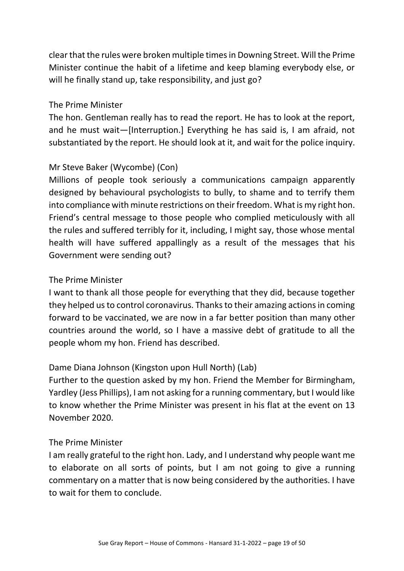clear that the rules were broken multiple times in Downing Street. Will the Prime Minister continue the habit of a lifetime and keep blaming everybody else, or will he finally stand up, take responsibility, and just go?

#### The Prime Minister

The hon. Gentleman really has to read the report. He has to look at the report, and he must wait—[Interruption.] Everything he has said is, I am afraid, not substantiated by the report. He should look at it, and wait for the police inquiry.

## Mr Steve Baker (Wycombe) (Con)

Millions of people took seriously a communications campaign apparently designed by behavioural psychologists to bully, to shame and to terrify them into compliance with minute restrictions on their freedom. What is my right hon. Friend's central message to those people who complied meticulously with all the rules and suffered terribly for it, including, I might say, those whose mental health will have suffered appallingly as a result of the messages that his Government were sending out?

### The Prime Minister

I want to thank all those people for everything that they did, because together they helped us to control coronavirus. Thanks to their amazing actions in coming forward to be vaccinated, we are now in a far better position than many other countries around the world, so I have a massive debt of gratitude to all the people whom my hon. Friend has described.

### Dame Diana Johnson (Kingston upon Hull North) (Lab)

Further to the question asked by my hon. Friend the Member for Birmingham, Yardley (Jess Phillips), I am not asking for a running commentary, but I would like to know whether the Prime Minister was present in his flat at the event on 13 November 2020.

### The Prime Minister

I am really grateful to the right hon. Lady, and I understand why people want me to elaborate on all sorts of points, but I am not going to give a running commentary on a matter that is now being considered by the authorities. I have to wait for them to conclude.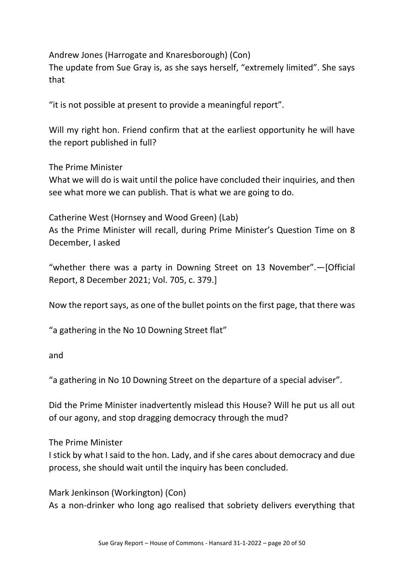Andrew Jones (Harrogate and Knaresborough) (Con)

The update from Sue Gray is, as she says herself, "extremely limited". She says that

"it is not possible at present to provide a meaningful report".

Will my right hon. Friend confirm that at the earliest opportunity he will have the report published in full?

The Prime Minister

What we will do is wait until the police have concluded their inquiries, and then see what more we can publish. That is what we are going to do.

Catherine West (Hornsey and Wood Green) (Lab) As the Prime Minister will recall, during Prime Minister's Question Time on 8 December, I asked

"whether there was a party in Downing Street on 13 November".—[Official Report, 8 December 2021; Vol. 705, c. 379.]

Now the report says, as one of the bullet points on the first page, that there was

"a gathering in the No 10 Downing Street flat"

and

"a gathering in No 10 Downing Street on the departure of a special adviser".

Did the Prime Minister inadvertently mislead this House? Will he put us all out of our agony, and stop dragging democracy through the mud?

The Prime Minister

I stick by what I said to the hon. Lady, and if she cares about democracy and due process, she should wait until the inquiry has been concluded.

Mark Jenkinson (Workington) (Con)

As a non-drinker who long ago realised that sobriety delivers everything that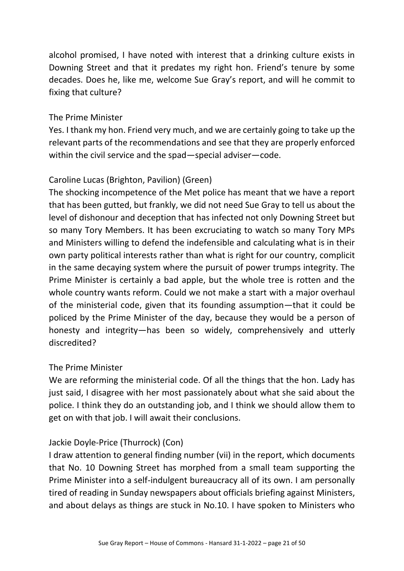alcohol promised, I have noted with interest that a drinking culture exists in Downing Street and that it predates my right hon. Friend's tenure by some decades. Does he, like me, welcome Sue Gray's report, and will he commit to fixing that culture?

#### The Prime Minister

Yes. I thank my hon. Friend very much, and we are certainly going to take up the relevant parts of the recommendations and see that they are properly enforced within the civil service and the spad—special adviser—code.

## Caroline Lucas (Brighton, Pavilion) (Green)

The shocking incompetence of the Met police has meant that we have a report that has been gutted, but frankly, we did not need Sue Gray to tell us about the level of dishonour and deception that has infected not only Downing Street but so many Tory Members. It has been excruciating to watch so many Tory MPs and Ministers willing to defend the indefensible and calculating what is in their own party political interests rather than what is right for our country, complicit in the same decaying system where the pursuit of power trumps integrity. The Prime Minister is certainly a bad apple, but the whole tree is rotten and the whole country wants reform. Could we not make a start with a major overhaul of the ministerial code, given that its founding assumption—that it could be policed by the Prime Minister of the day, because they would be a person of honesty and integrity—has been so widely, comprehensively and utterly discredited?

### The Prime Minister

We are reforming the ministerial code. Of all the things that the hon. Lady has just said, I disagree with her most passionately about what she said about the police. I think they do an outstanding job, and I think we should allow them to get on with that job. I will await their conclusions.

### Jackie Doyle-Price (Thurrock) (Con)

I draw attention to general finding number (vii) in the report, which documents that No. 10 Downing Street has morphed from a small team supporting the Prime Minister into a self-indulgent bureaucracy all of its own. I am personally tired of reading in Sunday newspapers about officials briefing against Ministers, and about delays as things are stuck in No.10. I have spoken to Ministers who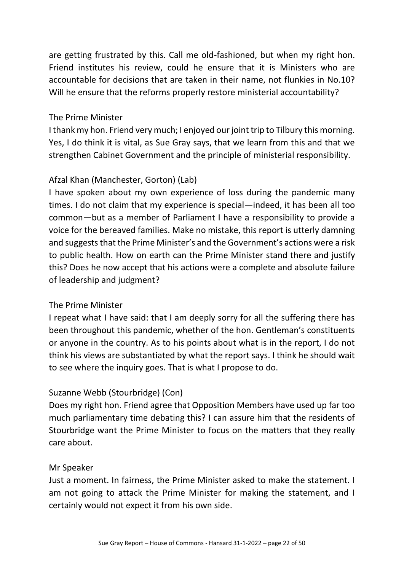are getting frustrated by this. Call me old-fashioned, but when my right hon. Friend institutes his review, could he ensure that it is Ministers who are accountable for decisions that are taken in their name, not flunkies in No.10? Will he ensure that the reforms properly restore ministerial accountability?

### The Prime Minister

I thank my hon. Friend very much; I enjoyed our joint trip to Tilbury this morning. Yes, I do think it is vital, as Sue Gray says, that we learn from this and that we strengthen Cabinet Government and the principle of ministerial responsibility.

### Afzal Khan (Manchester, Gorton) (Lab)

I have spoken about my own experience of loss during the pandemic many times. I do not claim that my experience is special—indeed, it has been all too common—but as a member of Parliament I have a responsibility to provide a voice for the bereaved families. Make no mistake, this report is utterly damning and suggests that the Prime Minister's and the Government's actions were a risk to public health. How on earth can the Prime Minister stand there and justify this? Does he now accept that his actions were a complete and absolute failure of leadership and judgment?

### The Prime Minister

I repeat what I have said: that I am deeply sorry for all the suffering there has been throughout this pandemic, whether of the hon. Gentleman's constituents or anyone in the country. As to his points about what is in the report, I do not think his views are substantiated by what the report says. I think he should wait to see where the inquiry goes. That is what I propose to do.

# Suzanne Webb (Stourbridge) (Con)

Does my right hon. Friend agree that Opposition Members have used up far too much parliamentary time debating this? I can assure him that the residents of Stourbridge want the Prime Minister to focus on the matters that they really care about.

### Mr Speaker

Just a moment. In fairness, the Prime Minister asked to make the statement. I am not going to attack the Prime Minister for making the statement, and I certainly would not expect it from his own side.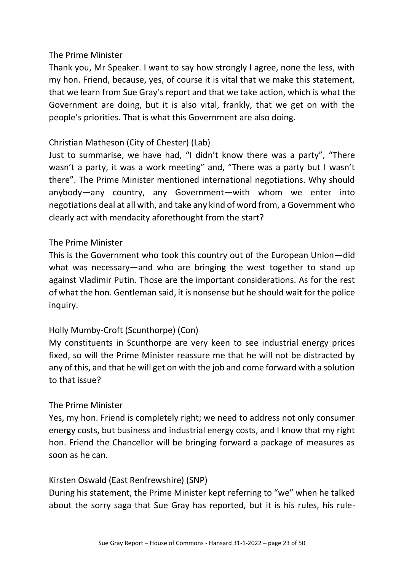Thank you, Mr Speaker. I want to say how strongly I agree, none the less, with my hon. Friend, because, yes, of course it is vital that we make this statement, that we learn from Sue Gray's report and that we take action, which is what the Government are doing, but it is also vital, frankly, that we get on with the people's priorities. That is what this Government are also doing.

## Christian Matheson (City of Chester) (Lab)

Just to summarise, we have had, "I didn't know there was a party", "There wasn't a party, it was a work meeting" and, "There was a party but I wasn't there". The Prime Minister mentioned international negotiations. Why should anybody—any country, any Government—with whom we enter into negotiations deal at all with, and take any kind of word from, a Government who clearly act with mendacity aforethought from the start?

### The Prime Minister

This is the Government who took this country out of the European Union—did what was necessary—and who are bringing the west together to stand up against Vladimir Putin. Those are the important considerations. As for the rest of what the hon. Gentleman said, it is nonsense but he should wait for the police inquiry.

# Holly Mumby-Croft (Scunthorpe) (Con)

My constituents in Scunthorpe are very keen to see industrial energy prices fixed, so will the Prime Minister reassure me that he will not be distracted by any of this, and that he will get on with the job and come forward with a solution to that issue?

### The Prime Minister

Yes, my hon. Friend is completely right; we need to address not only consumer energy costs, but business and industrial energy costs, and I know that my right hon. Friend the Chancellor will be bringing forward a package of measures as soon as he can.

### Kirsten Oswald (East Renfrewshire) (SNP)

During his statement, the Prime Minister kept referring to "we" when he talked about the sorry saga that Sue Gray has reported, but it is his rules, his rule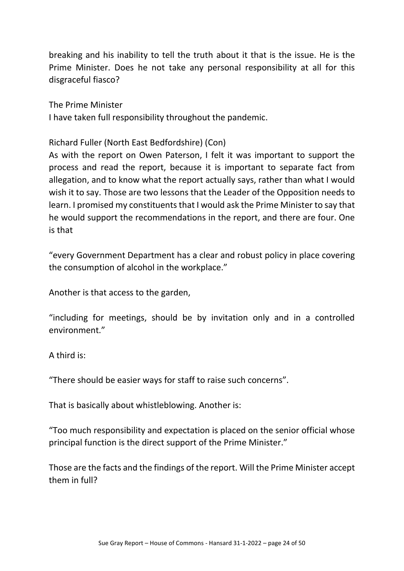breaking and his inability to tell the truth about it that is the issue. He is the Prime Minister. Does he not take any personal responsibility at all for this disgraceful fiasco?

The Prime Minister I have taken full responsibility throughout the pandemic.

Richard Fuller (North East Bedfordshire) (Con)

As with the report on Owen Paterson, I felt it was important to support the process and read the report, because it is important to separate fact from allegation, and to know what the report actually says, rather than what I would wish it to say. Those are two lessons that the Leader of the Opposition needs to learn. I promised my constituents that I would ask the Prime Minister to say that he would support the recommendations in the report, and there are four. One is that

"every Government Department has a clear and robust policy in place covering the consumption of alcohol in the workplace."

Another is that access to the garden,

"including for meetings, should be by invitation only and in a controlled environment."

A third is:

"There should be easier ways for staff to raise such concerns".

That is basically about whistleblowing. Another is:

"Too much responsibility and expectation is placed on the senior official whose principal function is the direct support of the Prime Minister."

Those are the facts and the findings of the report. Will the Prime Minister accept them in full?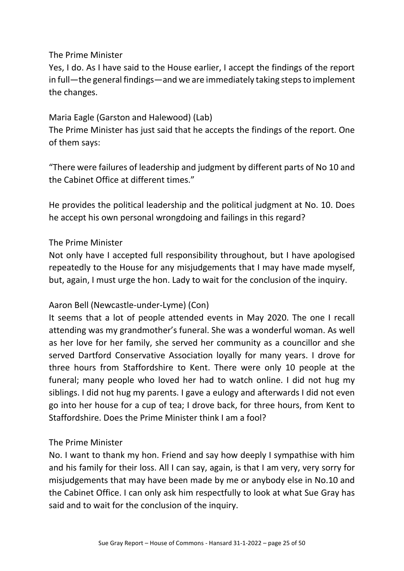Yes, I do. As I have said to the House earlier, I accept the findings of the report in full—the general findings—and we are immediately taking steps to implement the changes.

# Maria Eagle (Garston and Halewood) (Lab)

The Prime Minister has just said that he accepts the findings of the report. One of them says:

"There were failures of leadership and judgment by different parts of No 10 and the Cabinet Office at different times."

He provides the political leadership and the political judgment at No. 10. Does he accept his own personal wrongdoing and failings in this regard?

### The Prime Minister

Not only have I accepted full responsibility throughout, but I have apologised repeatedly to the House for any misjudgements that I may have made myself, but, again, I must urge the hon. Lady to wait for the conclusion of the inquiry.

### Aaron Bell (Newcastle-under-Lyme) (Con)

It seems that a lot of people attended events in May 2020. The one I recall attending was my grandmother's funeral. She was a wonderful woman. As well as her love for her family, she served her community as a councillor and she served Dartford Conservative Association loyally for many years. I drove for three hours from Staffordshire to Kent. There were only 10 people at the funeral; many people who loved her had to watch online. I did not hug my siblings. I did not hug my parents. I gave a eulogy and afterwards I did not even go into her house for a cup of tea; I drove back, for three hours, from Kent to Staffordshire. Does the Prime Minister think I am a fool?

### The Prime Minister

No. I want to thank my hon. Friend and say how deeply I sympathise with him and his family for their loss. All I can say, again, is that I am very, very sorry for misjudgements that may have been made by me or anybody else in No.10 and the Cabinet Office. I can only ask him respectfully to look at what Sue Gray has said and to wait for the conclusion of the inquiry.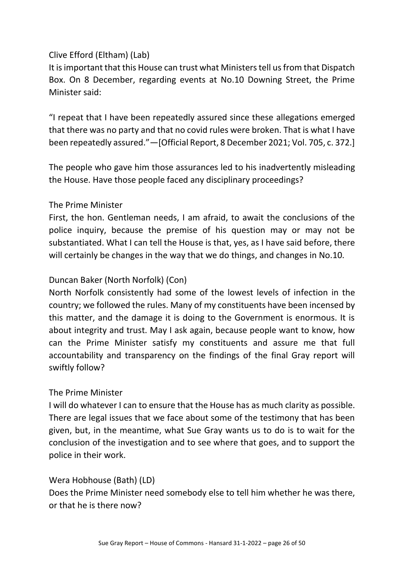## Clive Efford (Eltham) (Lab)

It is important that this House can trust what Ministers tell us from that Dispatch Box. On 8 December, regarding events at No.10 Downing Street, the Prime Minister said:

"I repeat that I have been repeatedly assured since these allegations emerged that there was no party and that no covid rules were broken. That is what I have been repeatedly assured."—[Official Report, 8 December 2021; Vol. 705, c. 372.]

The people who gave him those assurances led to his inadvertently misleading the House. Have those people faced any disciplinary proceedings?

### The Prime Minister

First, the hon. Gentleman needs, I am afraid, to await the conclusions of the police inquiry, because the premise of his question may or may not be substantiated. What I can tell the House is that, yes, as I have said before, there will certainly be changes in the way that we do things, and changes in No.10.

### Duncan Baker (North Norfolk) (Con)

North Norfolk consistently had some of the lowest levels of infection in the country; we followed the rules. Many of my constituents have been incensed by this matter, and the damage it is doing to the Government is enormous. It is about integrity and trust. May I ask again, because people want to know, how can the Prime Minister satisfy my constituents and assure me that full accountability and transparency on the findings of the final Gray report will swiftly follow?

#### The Prime Minister

I will do whatever I can to ensure that the House has as much clarity as possible. There are legal issues that we face about some of the testimony that has been given, but, in the meantime, what Sue Gray wants us to do is to wait for the conclusion of the investigation and to see where that goes, and to support the police in their work.

#### Wera Hobhouse (Bath) (LD)

Does the Prime Minister need somebody else to tell him whether he was there, or that he is there now?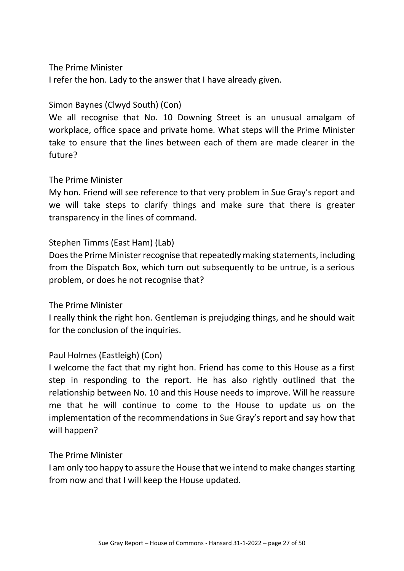I refer the hon. Lady to the answer that I have already given.

# Simon Baynes (Clwyd South) (Con)

We all recognise that No. 10 Downing Street is an unusual amalgam of workplace, office space and private home. What steps will the Prime Minister take to ensure that the lines between each of them are made clearer in the future?

### The Prime Minister

My hon. Friend will see reference to that very problem in Sue Gray's report and we will take steps to clarify things and make sure that there is greater transparency in the lines of command.

## Stephen Timms (East Ham) (Lab)

Does the Prime Minister recognise that repeatedly making statements, including from the Dispatch Box, which turn out subsequently to be untrue, is a serious problem, or does he not recognise that?

### The Prime Minister

I really think the right hon. Gentleman is prejudging things, and he should wait for the conclusion of the inquiries.

### Paul Holmes (Eastleigh) (Con)

I welcome the fact that my right hon. Friend has come to this House as a first step in responding to the report. He has also rightly outlined that the relationship between No. 10 and this House needs to improve. Will he reassure me that he will continue to come to the House to update us on the implementation of the recommendations in Sue Gray's report and say how that will happen?

### The Prime Minister

I am only too happy to assure the House that we intend to make changes starting from now and that I will keep the House updated.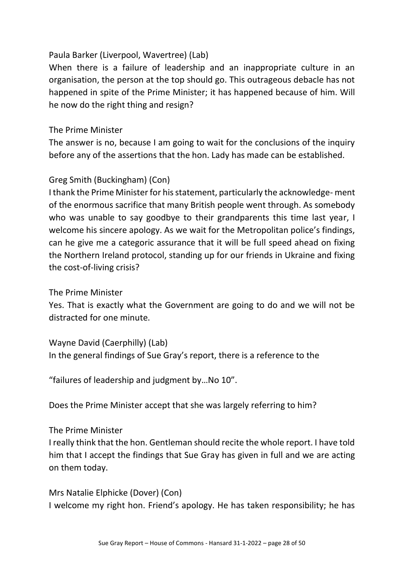## Paula Barker (Liverpool, Wavertree) (Lab)

When there is a failure of leadership and an inappropriate culture in an organisation, the person at the top should go. This outrageous debacle has not happened in spite of the Prime Minister; it has happened because of him. Will he now do the right thing and resign?

## The Prime Minister

The answer is no, because I am going to wait for the conclusions of the inquiry before any of the assertions that the hon. Lady has made can be established.

# Greg Smith (Buckingham) (Con)

I thank the Prime Minister for his statement, particularly the acknowledge- ment of the enormous sacrifice that many British people went through. As somebody who was unable to say goodbye to their grandparents this time last year, I welcome his sincere apology. As we wait for the Metropolitan police's findings, can he give me a categoric assurance that it will be full speed ahead on fixing the Northern Ireland protocol, standing up for our friends in Ukraine and fixing the cost-of-living crisis?

### The Prime Minister

Yes. That is exactly what the Government are going to do and we will not be distracted for one minute.

Wayne David (Caerphilly) (Lab) In the general findings of Sue Gray's report, there is a reference to the

"failures of leadership and judgment by…No 10".

Does the Prime Minister accept that she was largely referring to him?

### The Prime Minister

I really think that the hon. Gentleman should recite the whole report. I have told him that I accept the findings that Sue Gray has given in full and we are acting on them today.

Mrs Natalie Elphicke (Dover) (Con) I welcome my right hon. Friend's apology. He has taken responsibility; he has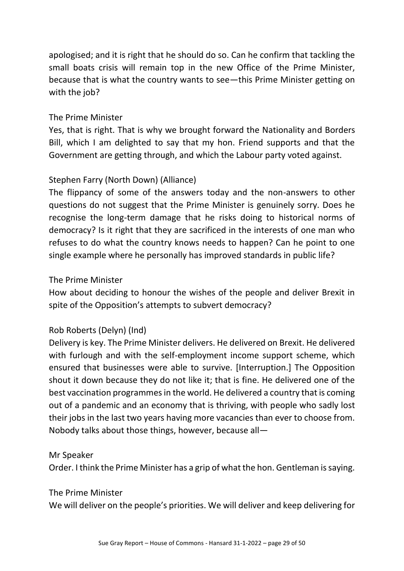apologised; and it is right that he should do so. Can he confirm that tackling the small boats crisis will remain top in the new Office of the Prime Minister, because that is what the country wants to see—this Prime Minister getting on with the job?

### The Prime Minister

Yes, that is right. That is why we brought forward the Nationality and Borders Bill, which I am delighted to say that my hon. Friend supports and that the Government are getting through, and which the Labour party voted against.

## Stephen Farry (North Down) (Alliance)

The flippancy of some of the answers today and the non-answers to other questions do not suggest that the Prime Minister is genuinely sorry. Does he recognise the long-term damage that he risks doing to historical norms of democracy? Is it right that they are sacrificed in the interests of one man who refuses to do what the country knows needs to happen? Can he point to one single example where he personally has improved standards in public life?

### The Prime Minister

How about deciding to honour the wishes of the people and deliver Brexit in spite of the Opposition's attempts to subvert democracy?

### Rob Roberts (Delyn) (Ind)

Delivery is key. The Prime Minister delivers. He delivered on Brexit. He delivered with furlough and with the self-employment income support scheme, which ensured that businesses were able to survive. [Interruption.] The Opposition shout it down because they do not like it; that is fine. He delivered one of the best vaccination programmes in the world. He delivered a country that is coming out of a pandemic and an economy that is thriving, with people who sadly lost their jobs in the last two years having more vacancies than ever to choose from. Nobody talks about those things, however, because all—

#### Mr Speaker

Order. I think the Prime Minister has a grip of what the hon. Gentleman is saying.

#### The Prime Minister

We will deliver on the people's priorities. We will deliver and keep delivering for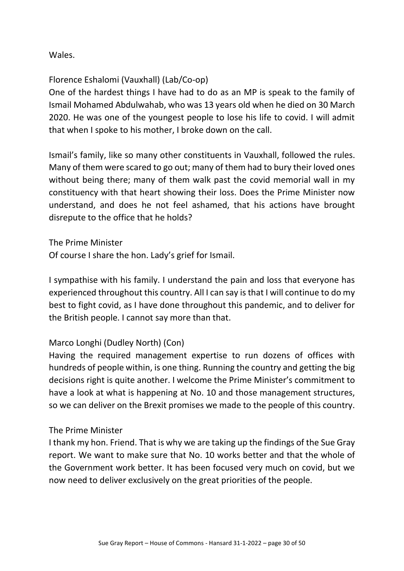Wales.

Florence Eshalomi (Vauxhall) (Lab/Co-op)

One of the hardest things I have had to do as an MP is speak to the family of Ismail Mohamed Abdulwahab, who was 13 years old when he died on 30 March 2020. He was one of the youngest people to lose his life to covid. I will admit that when I spoke to his mother, I broke down on the call.

Ismail's family, like so many other constituents in Vauxhall, followed the rules. Many of them were scared to go out; many of them had to bury their loved ones without being there; many of them walk past the covid memorial wall in my constituency with that heart showing their loss. Does the Prime Minister now understand, and does he not feel ashamed, that his actions have brought disrepute to the office that he holds?

The Prime Minister

Of course I share the hon. Lady's grief for Ismail.

I sympathise with his family. I understand the pain and loss that everyone has experienced throughout this country. All I can say is that I will continue to do my best to fight covid, as I have done throughout this pandemic, and to deliver for the British people. I cannot say more than that.

# Marco Longhi (Dudley North) (Con)

Having the required management expertise to run dozens of offices with hundreds of people within, is one thing. Running the country and getting the big decisions right is quite another. I welcome the Prime Minister's commitment to have a look at what is happening at No. 10 and those management structures, so we can deliver on the Brexit promises we made to the people of this country.

### The Prime Minister

I thank my hon. Friend. That is why we are taking up the findings of the Sue Gray report. We want to make sure that No. 10 works better and that the whole of the Government work better. It has been focused very much on covid, but we now need to deliver exclusively on the great priorities of the people.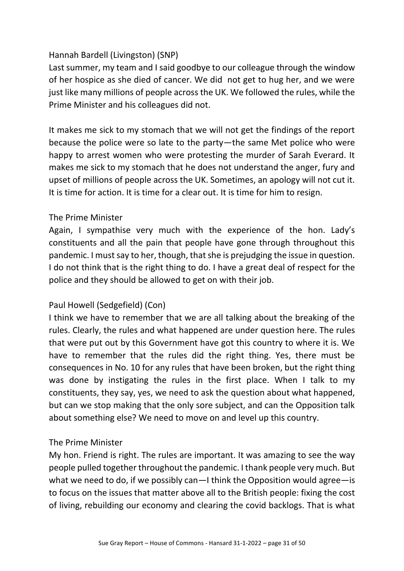## Hannah Bardell (Livingston) (SNP)

Last summer, my team and I said goodbye to our colleague through the window of her hospice as she died of cancer. We did not get to hug her, and we were just like many millions of people across the UK. We followed the rules, while the Prime Minister and his colleagues did not.

It makes me sick to my stomach that we will not get the findings of the report because the police were so late to the party—the same Met police who were happy to arrest women who were protesting the murder of Sarah Everard. It makes me sick to my stomach that he does not understand the anger, fury and upset of millions of people across the UK. Sometimes, an apology will not cut it. It is time for action. It is time for a clear out. It is time for him to resign.

### The Prime Minister

Again, I sympathise very much with the experience of the hon. Lady's constituents and all the pain that people have gone through throughout this pandemic. I must say to her, though, that she is prejudging the issue in question. I do not think that is the right thing to do. I have a great deal of respect for the police and they should be allowed to get on with their job.

# Paul Howell (Sedgefield) (Con)

I think we have to remember that we are all talking about the breaking of the rules. Clearly, the rules and what happened are under question here. The rules that were put out by this Government have got this country to where it is. We have to remember that the rules did the right thing. Yes, there must be consequences in No. 10 for any rules that have been broken, but the right thing was done by instigating the rules in the first place. When I talk to my constituents, they say, yes, we need to ask the question about what happened, but can we stop making that the only sore subject, and can the Opposition talk about something else? We need to move on and level up this country.

### The Prime Minister

My hon. Friend is right. The rules are important. It was amazing to see the way people pulled together throughout the pandemic. I thank people very much. But what we need to do, if we possibly can—I think the Opposition would agree—is to focus on the issues that matter above all to the British people: fixing the cost of living, rebuilding our economy and clearing the covid backlogs. That is what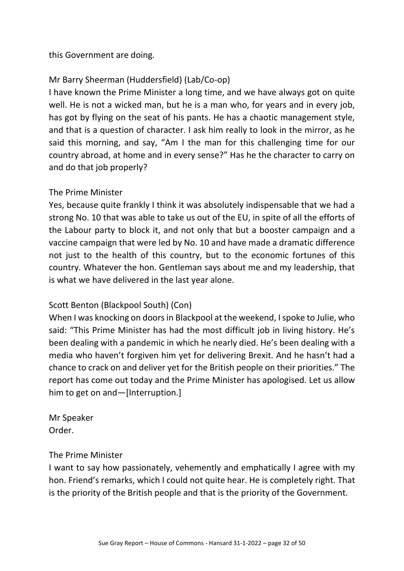this Government are doing.

# Mr Barry Sheerman (Huddersfield) (Lab/Co-op)

I have known the Prime Minister a long time, and we have always got on quite well. He is not a wicked man, but he is a man who, for years and in every job, has got by flying on the seat of his pants. He has a chaotic management style, and that is a question of character. I ask him really to look in the mirror, as he said this morning, and say, "Am I the man for this challenging time for our country abroad, at home and in every sense?" Has he the character to carry on and do that job properly?

# The Prime Minister

Yes, because quite frankly I think it was absolutely indispensable that we had a strong No. 10 that was able to take us out of the EU, in spite of all the efforts of the Labour party to block it, and not only that but a booster campaign and a vaccine campaign that were led by No. 10 and have made a dramatic difference not just to the health of this country, but to the economic fortunes of this country. Whatever the hon. Gentleman says about me and my leadership, that is what we have delivered in the last year alone.

# Scott Benton (Blackpool South) (Con)

When I was knocking on doors in Blackpool at the weekend, I spoke to Julie, who said: "This Prime Minister has had the most difficult job in living history. He's been dealing with a pandemic in which he nearly died. He's been dealing with a media who haven't forgiven him yet for delivering Brexit. And he hasn't had a chance to crack on and deliver yet for the British people on their priorities." The report has come out today and the Prime Minister has apologised. Let us allow him to get on and—[Interruption.]

Mr Speaker Order.

### The Prime Minister

I want to say how passionately, vehemently and emphatically I agree with my hon. Friend's remarks, which I could not quite hear. He is completely right. That is the priority of the British people and that is the priority of the Government.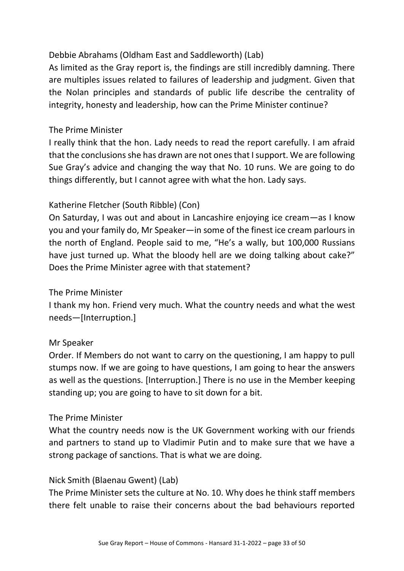# Debbie Abrahams (Oldham East and Saddleworth) (Lab)

As limited as the Gray report is, the findings are still incredibly damning. There are multiples issues related to failures of leadership and judgment. Given that the Nolan principles and standards of public life describe the centrality of integrity, honesty and leadership, how can the Prime Minister continue?

## The Prime Minister

I really think that the hon. Lady needs to read the report carefully. I am afraid that the conclusions she has drawn are not ones that I support. We are following Sue Gray's advice and changing the way that No. 10 runs. We are going to do things differently, but I cannot agree with what the hon. Lady says.

# Katherine Fletcher (South Ribble) (Con)

On Saturday, I was out and about in Lancashire enjoying ice cream—as I know you and your family do, Mr Speaker—in some of the finest ice cream parlours in the north of England. People said to me, "He's a wally, but 100,000 Russians have just turned up. What the bloody hell are we doing talking about cake?" Does the Prime Minister agree with that statement?

# The Prime Minister

I thank my hon. Friend very much. What the country needs and what the west needs—[Interruption.]

### Mr Speaker

Order. If Members do not want to carry on the questioning, I am happy to pull stumps now. If we are going to have questions, I am going to hear the answers as well as the questions. [Interruption.] There is no use in the Member keeping standing up; you are going to have to sit down for a bit.

### The Prime Minister

What the country needs now is the UK Government working with our friends and partners to stand up to Vladimir Putin and to make sure that we have a strong package of sanctions. That is what we are doing.

### Nick Smith (Blaenau Gwent) (Lab)

The Prime Minister sets the culture at No. 10. Why does he think staff members there felt unable to raise their concerns about the bad behaviours reported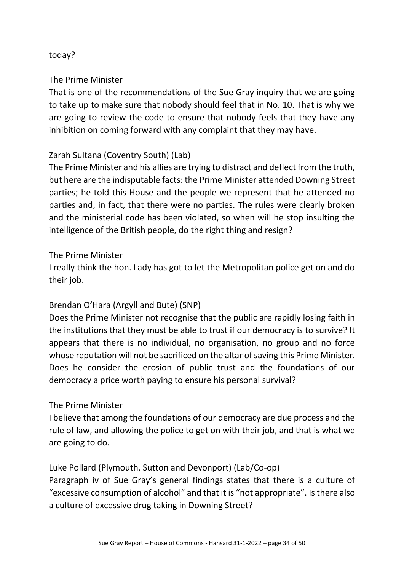### today?

## The Prime Minister

That is one of the recommendations of the Sue Gray inquiry that we are going to take up to make sure that nobody should feel that in No. 10. That is why we are going to review the code to ensure that nobody feels that they have any inhibition on coming forward with any complaint that they may have.

## Zarah Sultana (Coventry South) (Lab)

The Prime Minister and his allies are trying to distract and deflect from the truth, but here are the indisputable facts: the Prime Minister attended Downing Street parties; he told this House and the people we represent that he attended no parties and, in fact, that there were no parties. The rules were clearly broken and the ministerial code has been violated, so when will he stop insulting the intelligence of the British people, do the right thing and resign?

## The Prime Minister

I really think the hon. Lady has got to let the Metropolitan police get on and do their job.

# Brendan O'Hara (Argyll and Bute) (SNP)

Does the Prime Minister not recognise that the public are rapidly losing faith in the institutions that they must be able to trust if our democracy is to survive? It appears that there is no individual, no organisation, no group and no force whose reputation will not be sacrificed on the altar of saving this Prime Minister. Does he consider the erosion of public trust and the foundations of our democracy a price worth paying to ensure his personal survival?

# The Prime Minister

I believe that among the foundations of our democracy are due process and the rule of law, and allowing the police to get on with their job, and that is what we are going to do.

# Luke Pollard (Plymouth, Sutton and Devonport) (Lab/Co-op)

Paragraph iv of Sue Gray's general findings states that there is a culture of "excessive consumption of alcohol" and that it is "not appropriate". Is there also a culture of excessive drug taking in Downing Street?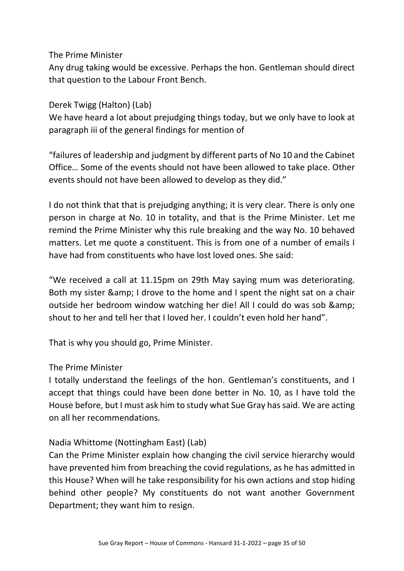Any drug taking would be excessive. Perhaps the hon. Gentleman should direct that question to the Labour Front Bench.

Derek Twigg (Halton) (Lab)

We have heard a lot about prejudging things today, but we only have to look at paragraph iii of the general findings for mention of

"failures of leadership and judgment by different parts of No 10 and the Cabinet Office… Some of the events should not have been allowed to take place. Other events should not have been allowed to develop as they did."

I do not think that that is prejudging anything; it is very clear. There is only one person in charge at No. 10 in totality, and that is the Prime Minister. Let me remind the Prime Minister why this rule breaking and the way No. 10 behaved matters. Let me quote a constituent. This is from one of a number of emails I have had from constituents who have lost loved ones. She said:

"We received a call at 11.15pm on 29th May saying mum was deteriorating. Both my sister & amp; I drove to the home and I spent the night sat on a chair outside her bedroom window watching her die! All I could do was sob & shout to her and tell her that I loved her. I couldn't even hold her hand".

That is why you should go, Prime Minister.

### The Prime Minister

I totally understand the feelings of the hon. Gentleman's constituents, and I accept that things could have been done better in No. 10, as I have told the House before, but I must ask him to study what Sue Gray has said. We are acting on all her recommendations.

# Nadia Whittome (Nottingham East) (Lab)

Can the Prime Minister explain how changing the civil service hierarchy would have prevented him from breaching the covid regulations, as he has admitted in this House? When will he take responsibility for his own actions and stop hiding behind other people? My constituents do not want another Government Department; they want him to resign.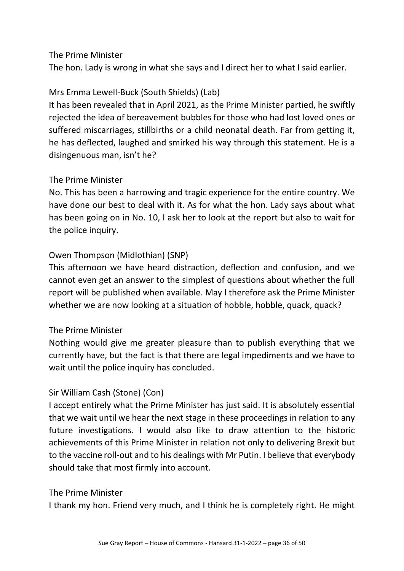The hon. Lady is wrong in what she says and I direct her to what I said earlier.

# Mrs Emma Lewell-Buck (South Shields) (Lab)

It has been revealed that in April 2021, as the Prime Minister partied, he swiftly rejected the idea of bereavement bubbles for those who had lost loved ones or suffered miscarriages, stillbirths or a child neonatal death. Far from getting it, he has deflected, laughed and smirked his way through this statement. He is a disingenuous man, isn't he?

## The Prime Minister

No. This has been a harrowing and tragic experience for the entire country. We have done our best to deal with it. As for what the hon. Lady says about what has been going on in No. 10, I ask her to look at the report but also to wait for the police inquiry.

# Owen Thompson (Midlothian) (SNP)

This afternoon we have heard distraction, deflection and confusion, and we cannot even get an answer to the simplest of questions about whether the full report will be published when available. May I therefore ask the Prime Minister whether we are now looking at a situation of hobble, hobble, quack, quack?

# The Prime Minister

Nothing would give me greater pleasure than to publish everything that we currently have, but the fact is that there are legal impediments and we have to wait until the police inquiry has concluded.

# Sir William Cash (Stone) (Con)

I accept entirely what the Prime Minister has just said. It is absolutely essential that we wait until we hear the next stage in these proceedings in relation to any future investigations. I would also like to draw attention to the historic achievements of this Prime Minister in relation not only to delivering Brexit but to the vaccine roll-out and to his dealings with Mr Putin. I believe that everybody should take that most firmly into account.

### The Prime Minister

I thank my hon. Friend very much, and I think he is completely right. He might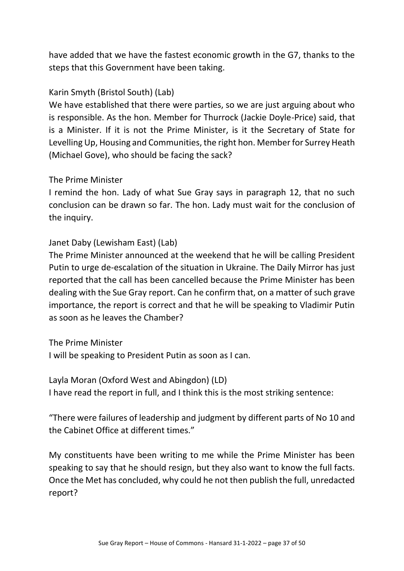have added that we have the fastest economic growth in the G7, thanks to the steps that this Government have been taking.

## Karin Smyth (Bristol South) (Lab)

We have established that there were parties, so we are just arguing about who is responsible. As the hon. Member for Thurrock (Jackie Doyle-Price) said, that is a Minister. If it is not the Prime Minister, is it the Secretary of State for Levelling Up, Housing and Communities, the right hon. Member for Surrey Heath (Michael Gove), who should be facing the sack?

### The Prime Minister

I remind the hon. Lady of what Sue Gray says in paragraph 12, that no such conclusion can be drawn so far. The hon. Lady must wait for the conclusion of the inquiry.

## Janet Daby (Lewisham East) (Lab)

The Prime Minister announced at the weekend that he will be calling President Putin to urge de-escalation of the situation in Ukraine. The Daily Mirror has just reported that the call has been cancelled because the Prime Minister has been dealing with the Sue Gray report. Can he confirm that, on a matter of such grave importance, the report is correct and that he will be speaking to Vladimir Putin as soon as he leaves the Chamber?

### The Prime Minister

I will be speaking to President Putin as soon as I can.

### Layla Moran (Oxford West and Abingdon) (LD)

I have read the report in full, and I think this is the most striking sentence:

"There were failures of leadership and judgment by different parts of No 10 and the Cabinet Office at different times."

My constituents have been writing to me while the Prime Minister has been speaking to say that he should resign, but they also want to know the full facts. Once the Met has concluded, why could he not then publish the full, unredacted report?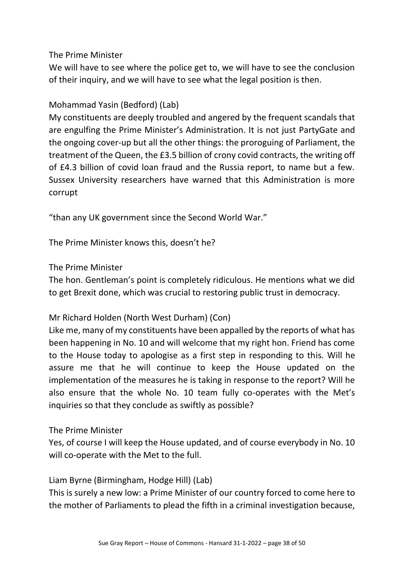We will have to see where the police get to, we will have to see the conclusion of their inquiry, and we will have to see what the legal position is then.

## Mohammad Yasin (Bedford) (Lab)

My constituents are deeply troubled and angered by the frequent scandals that are engulfing the Prime Minister's Administration. It is not just PartyGate and the ongoing cover-up but all the other things: the proroguing of Parliament, the treatment of the Queen, the £3.5 billion of crony covid contracts, the writing off of £4.3 billion of covid loan fraud and the Russia report, to name but a few. Sussex University researchers have warned that this Administration is more corrupt

"than any UK government since the Second World War."

The Prime Minister knows this, doesn't he?

### The Prime Minister

The hon. Gentleman's point is completely ridiculous. He mentions what we did to get Brexit done, which was crucial to restoring public trust in democracy.

# Mr Richard Holden (North West Durham) (Con)

Like me, many of my constituents have been appalled by the reports of what has been happening in No. 10 and will welcome that my right hon. Friend has come to the House today to apologise as a first step in responding to this. Will he assure me that he will continue to keep the House updated on the implementation of the measures he is taking in response to the report? Will he also ensure that the whole No. 10 team fully co-operates with the Met's inquiries so that they conclude as swiftly as possible?

### The Prime Minister

Yes, of course I will keep the House updated, and of course everybody in No. 10 will co-operate with the Met to the full.

### Liam Byrne (Birmingham, Hodge Hill) (Lab)

This is surely a new low: a Prime Minister of our country forced to come here to the mother of Parliaments to plead the fifth in a criminal investigation because,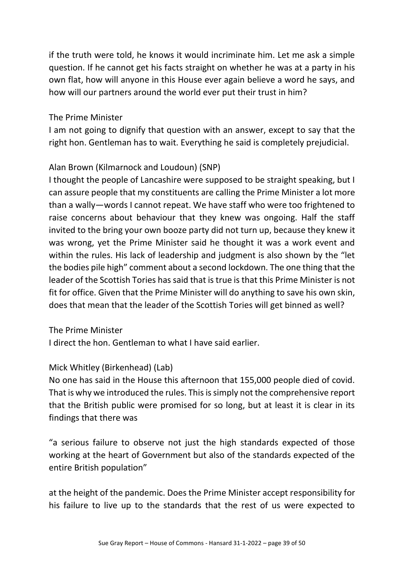if the truth were told, he knows it would incriminate him. Let me ask a simple question. If he cannot get his facts straight on whether he was at a party in his own flat, how will anyone in this House ever again believe a word he says, and how will our partners around the world ever put their trust in him?

### The Prime Minister

I am not going to dignify that question with an answer, except to say that the right hon. Gentleman has to wait. Everything he said is completely prejudicial.

## Alan Brown (Kilmarnock and Loudoun) (SNP)

I thought the people of Lancashire were supposed to be straight speaking, but I can assure people that my constituents are calling the Prime Minister a lot more than a wally—words I cannot repeat. We have staff who were too frightened to raise concerns about behaviour that they knew was ongoing. Half the staff invited to the bring your own booze party did not turn up, because they knew it was wrong, yet the Prime Minister said he thought it was a work event and within the rules. His lack of leadership and judgment is also shown by the "let the bodies pile high" comment about a second lockdown. The one thing that the leader of the Scottish Tories has said that is true is that this Prime Minister is not fit for office. Given that the Prime Minister will do anything to save his own skin, does that mean that the leader of the Scottish Tories will get binned as well?

### The Prime Minister

I direct the hon. Gentleman to what I have said earlier.

### Mick Whitley (Birkenhead) (Lab)

No one has said in the House this afternoon that 155,000 people died of covid. That is why we introduced the rules. This is simply not the comprehensive report that the British public were promised for so long, but at least it is clear in its findings that there was

"a serious failure to observe not just the high standards expected of those working at the heart of Government but also of the standards expected of the entire British population"

at the height of the pandemic. Does the Prime Minister accept responsibility for his failure to live up to the standards that the rest of us were expected to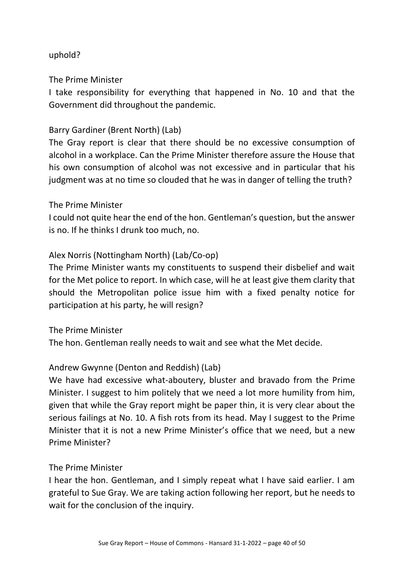## uphold?

The Prime Minister

I take responsibility for everything that happened in No. 10 and that the Government did throughout the pandemic.

## Barry Gardiner (Brent North) (Lab)

The Gray report is clear that there should be no excessive consumption of alcohol in a workplace. Can the Prime Minister therefore assure the House that his own consumption of alcohol was not excessive and in particular that his judgment was at no time so clouded that he was in danger of telling the truth?

### The Prime Minister

I could not quite hear the end of the hon. Gentleman's question, but the answer is no. If he thinks I drunk too much, no.

### Alex Norris (Nottingham North) (Lab/Co-op)

The Prime Minister wants my constituents to suspend their disbelief and wait for the Met police to report. In which case, will he at least give them clarity that should the Metropolitan police issue him with a fixed penalty notice for participation at his party, he will resign?

The Prime Minister

The hon. Gentleman really needs to wait and see what the Met decide.

### Andrew Gwynne (Denton and Reddish) (Lab)

We have had excessive what-aboutery, bluster and bravado from the Prime Minister. I suggest to him politely that we need a lot more humility from him, given that while the Gray report might be paper thin, it is very clear about the serious failings at No. 10. A fish rots from its head. May I suggest to the Prime Minister that it is not a new Prime Minister's office that we need, but a new Prime Minister?

### The Prime Minister

I hear the hon. Gentleman, and I simply repeat what I have said earlier. I am grateful to Sue Gray. We are taking action following her report, but he needs to wait for the conclusion of the inquiry.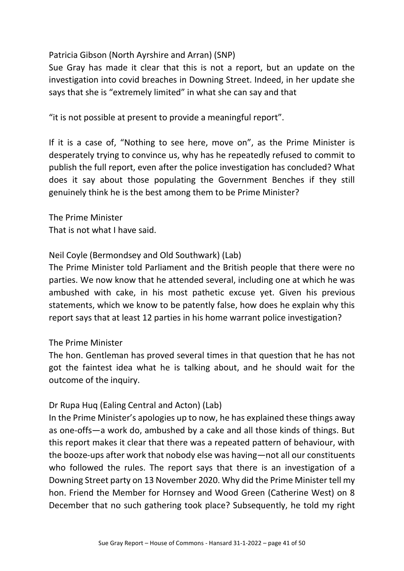## Patricia Gibson (North Ayrshire and Arran) (SNP)

Sue Gray has made it clear that this is not a report, but an update on the investigation into covid breaches in Downing Street. Indeed, in her update she says that she is "extremely limited" in what she can say and that

"it is not possible at present to provide a meaningful report".

If it is a case of, "Nothing to see here, move on", as the Prime Minister is desperately trying to convince us, why has he repeatedly refused to commit to publish the full report, even after the police investigation has concluded? What does it say about those populating the Government Benches if they still genuinely think he is the best among them to be Prime Minister?

The Prime Minister That is not what I have said.

## Neil Coyle (Bermondsey and Old Southwark) (Lab)

The Prime Minister told Parliament and the British people that there were no parties. We now know that he attended several, including one at which he was ambushed with cake, in his most pathetic excuse yet. Given his previous statements, which we know to be patently false, how does he explain why this report says that at least 12 parties in his home warrant police investigation?

### The Prime Minister

The hon. Gentleman has proved several times in that question that he has not got the faintest idea what he is talking about, and he should wait for the outcome of the inquiry.

# Dr Rupa Huq (Ealing Central and Acton) (Lab)

In the Prime Minister's apologies up to now, he has explained these things away as one-offs—a work do, ambushed by a cake and all those kinds of things. But this report makes it clear that there was a repeated pattern of behaviour, with the booze-ups after work that nobody else was having—not all our constituents who followed the rules. The report says that there is an investigation of a Downing Street party on 13 November 2020. Why did the Prime Minister tell my hon. Friend the Member for Hornsey and Wood Green (Catherine West) on 8 December that no such gathering took place? Subsequently, he told my right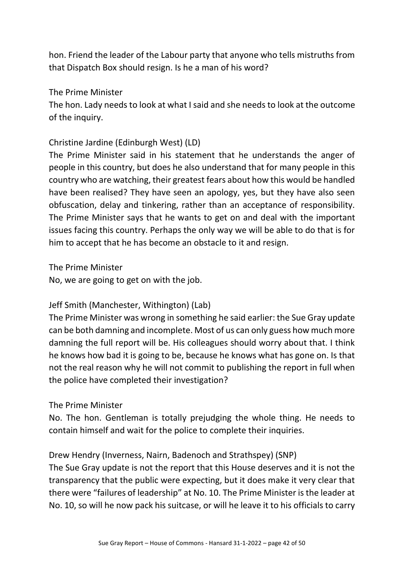hon. Friend the leader of the Labour party that anyone who tells mistruths from that Dispatch Box should resign. Is he a man of his word?

### The Prime Minister

The hon. Lady needs to look at what I said and she needs to look at the outcome of the inquiry.

## Christine Jardine (Edinburgh West) (LD)

The Prime Minister said in his statement that he understands the anger of people in this country, but does he also understand that for many people in this country who are watching, their greatest fears about how this would be handled have been realised? They have seen an apology, yes, but they have also seen obfuscation, delay and tinkering, rather than an acceptance of responsibility. The Prime Minister says that he wants to get on and deal with the important issues facing this country. Perhaps the only way we will be able to do that is for him to accept that he has become an obstacle to it and resign.

The Prime Minister

No, we are going to get on with the job.

# Jeff Smith (Manchester, Withington) (Lab)

The Prime Minister was wrong in something he said earlier: the Sue Gray update can be both damning and incomplete. Most of us can only guess how much more damning the full report will be. His colleagues should worry about that. I think he knows how bad it is going to be, because he knows what has gone on. Is that not the real reason why he will not commit to publishing the report in full when the police have completed their investigation?

### The Prime Minister

No. The hon. Gentleman is totally prejudging the whole thing. He needs to contain himself and wait for the police to complete their inquiries.

Drew Hendry (Inverness, Nairn, Badenoch and Strathspey) (SNP)

The Sue Gray update is not the report that this House deserves and it is not the transparency that the public were expecting, but it does make it very clear that there were "failures of leadership" at No. 10. The Prime Minister is the leader at No. 10, so will he now pack his suitcase, or will he leave it to his officials to carry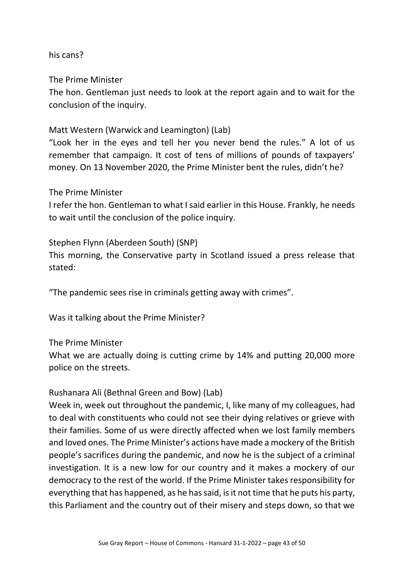### his cans?

The Prime Minister

The hon. Gentleman just needs to look at the report again and to wait for the conclusion of the inquiry.

### Matt Western (Warwick and Leamington) (Lab)

"Look her in the eyes and tell her you never bend the rules." A lot of us remember that campaign. It cost of tens of millions of pounds of taxpayers' money. On 13 November 2020, the Prime Minister bent the rules, didn't he?

### The Prime Minister

I refer the hon. Gentleman to what I said earlier in this House. Frankly, he needs to wait until the conclusion of the police inquiry.

### Stephen Flynn (Aberdeen South) (SNP)

This morning, the Conservative party in Scotland issued a press release that stated:

"The pandemic sees rise in criminals getting away with crimes".

Was it talking about the Prime Minister?

The Prime Minister

What we are actually doing is cutting crime by 14% and putting 20,000 more police on the streets.

#### Rushanara Ali (Bethnal Green and Bow) (Lab)

Week in, week out throughout the pandemic, I, like many of my colleagues, had to deal with constituents who could not see their dying relatives or grieve with their families. Some of us were directly affected when we lost family members and loved ones. The Prime Minister's actions have made a mockery of the British people's sacrifices during the pandemic, and now he is the subject of a criminal investigation. It is a new low for our country and it makes a mockery of our democracy to the rest of the world. If the Prime Minister takes responsibility for everything that has happened, as he has said, is it not time that he puts his party, this Parliament and the country out of their misery and steps down, so that we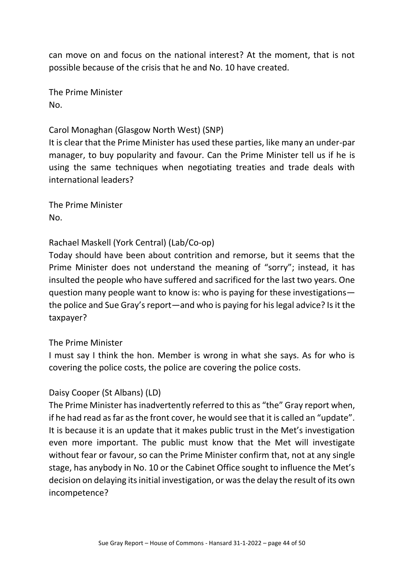can move on and focus on the national interest? At the moment, that is not possible because of the crisis that he and No. 10 have created.

The Prime Minister No.

## Carol Monaghan (Glasgow North West) (SNP)

It is clear that the Prime Minister has used these parties, like many an under-par manager, to buy popularity and favour. Can the Prime Minister tell us if he is using the same techniques when negotiating treaties and trade deals with international leaders?

The Prime Minister No.

## Rachael Maskell (York Central) (Lab/Co-op)

Today should have been about contrition and remorse, but it seems that the Prime Minister does not understand the meaning of "sorry"; instead, it has insulted the people who have suffered and sacrificed for the last two years. One question many people want to know is: who is paying for these investigations the police and Sue Gray's report—and who is paying for his legal advice? Is it the taxpayer?

### The Prime Minister

I must say I think the hon. Member is wrong in what she says. As for who is covering the police costs, the police are covering the police costs.

### Daisy Cooper (St Albans) (LD)

The Prime Minister has inadvertently referred to this as "the" Gray report when, if he had read as far as the front cover, he would see that it is called an "update". It is because it is an update that it makes public trust in the Met's investigation even more important. The public must know that the Met will investigate without fear or favour, so can the Prime Minister confirm that, not at any single stage, has anybody in No. 10 or the Cabinet Office sought to influence the Met's decision on delaying its initial investigation, or was the delay the result of its own incompetence?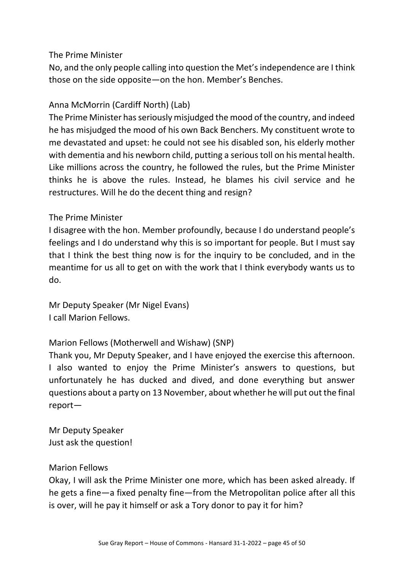No, and the only people calling into question the Met's independence are I think those on the side opposite—on the hon. Member's Benches.

## Anna McMorrin (Cardiff North) (Lab)

The Prime Minister has seriously misjudged the mood of the country, and indeed he has misjudged the mood of his own Back Benchers. My constituent wrote to me devastated and upset: he could not see his disabled son, his elderly mother with dementia and his newborn child, putting a serious toll on his mental health. Like millions across the country, he followed the rules, but the Prime Minister thinks he is above the rules. Instead, he blames his civil service and he restructures. Will he do the decent thing and resign?

### The Prime Minister

I disagree with the hon. Member profoundly, because I do understand people's feelings and I do understand why this is so important for people. But I must say that I think the best thing now is for the inquiry to be concluded, and in the meantime for us all to get on with the work that I think everybody wants us to do.

Mr Deputy Speaker (Mr Nigel Evans) I call Marion Fellows.

# Marion Fellows (Motherwell and Wishaw) (SNP)

Thank you, Mr Deputy Speaker, and I have enjoyed the exercise this afternoon. I also wanted to enjoy the Prime Minister's answers to questions, but unfortunately he has ducked and dived, and done everything but answer questions about a party on 13 November, about whether he will put out the final report—

Mr Deputy Speaker Just ask the question!

### Marion Fellows

Okay, I will ask the Prime Minister one more, which has been asked already. If he gets a fine—a fixed penalty fine—from the Metropolitan police after all this is over, will he pay it himself or ask a Tory donor to pay it for him?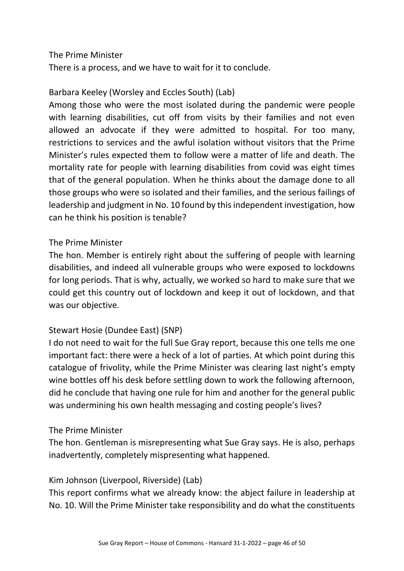There is a process, and we have to wait for it to conclude.

## Barbara Keeley (Worsley and Eccles South) (Lab)

Among those who were the most isolated during the pandemic were people with learning disabilities, cut off from visits by their families and not even allowed an advocate if they were admitted to hospital. For too many, restrictions to services and the awful isolation without visitors that the Prime Minister's rules expected them to follow were a matter of life and death. The mortality rate for people with learning disabilities from covid was eight times that of the general population. When he thinks about the damage done to all those groups who were so isolated and their families, and the serious failings of leadership and judgment in No. 10 found by this independent investigation, how can he think his position is tenable?

### The Prime Minister

The hon. Member is entirely right about the suffering of people with learning disabilities, and indeed all vulnerable groups who were exposed to lockdowns for long periods. That is why, actually, we worked so hard to make sure that we could get this country out of lockdown and keep it out of lockdown, and that was our objective.

### Stewart Hosie (Dundee East) (SNP)

I do not need to wait for the full Sue Gray report, because this one tells me one important fact: there were a heck of a lot of parties. At which point during this catalogue of frivolity, while the Prime Minister was clearing last night's empty wine bottles off his desk before settling down to work the following afternoon, did he conclude that having one rule for him and another for the general public was undermining his own health messaging and costing people's lives?

#### The Prime Minister

The hon. Gentleman is misrepresenting what Sue Gray says. He is also, perhaps inadvertently, completely mispresenting what happened.

### Kim Johnson (Liverpool, Riverside) (Lab)

This report confirms what we already know: the abject failure in leadership at No. 10. Will the Prime Minister take responsibility and do what the constituents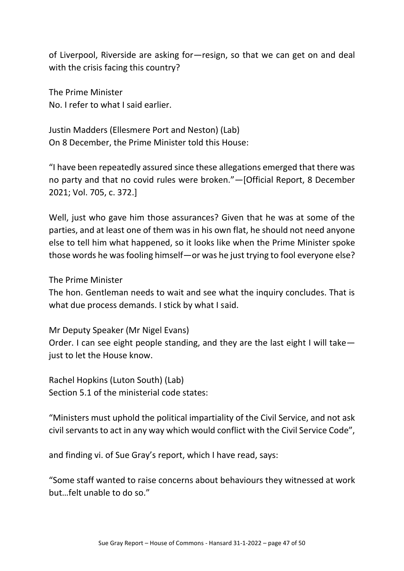of Liverpool, Riverside are asking for—resign, so that we can get on and deal with the crisis facing this country?

The Prime Minister No. I refer to what I said earlier.

Justin Madders (Ellesmere Port and Neston) (Lab) On 8 December, the Prime Minister told this House:

"I have been repeatedly assured since these allegations emerged that there was no party and that no covid rules were broken."—[Official Report, 8 December 2021; Vol. 705, c. 372.]

Well, just who gave him those assurances? Given that he was at some of the parties, and at least one of them was in his own flat, he should not need anyone else to tell him what happened, so it looks like when the Prime Minister spoke those words he was fooling himself—or was he just trying to fool everyone else?

The Prime Minister

The hon. Gentleman needs to wait and see what the inquiry concludes. That is what due process demands. I stick by what I said.

Mr Deputy Speaker (Mr Nigel Evans)

Order. I can see eight people standing, and they are the last eight I will take just to let the House know.

Rachel Hopkins (Luton South) (Lab) Section 5.1 of the ministerial code states:

"Ministers must uphold the political impartiality of the Civil Service, and not ask civil servants to act in any way which would conflict with the Civil Service Code",

and finding vi. of Sue Gray's report, which I have read, says:

"Some staff wanted to raise concerns about behaviours they witnessed at work but…felt unable to do so."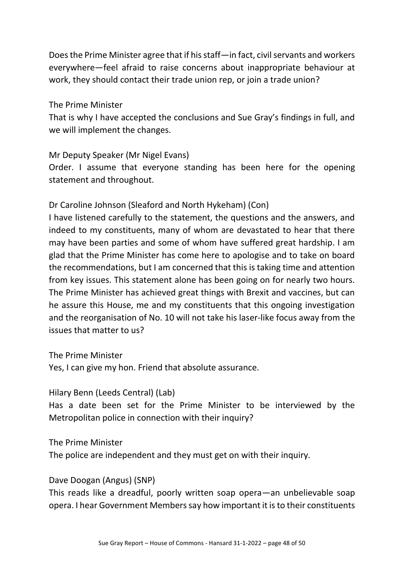Does the Prime Minister agree that if his staff—in fact, civil servants and workers everywhere—feel afraid to raise concerns about inappropriate behaviour at work, they should contact their trade union rep, or join a trade union?

#### The Prime Minister

That is why I have accepted the conclusions and Sue Gray's findings in full, and we will implement the changes.

### Mr Deputy Speaker (Mr Nigel Evans)

Order. I assume that everyone standing has been here for the opening statement and throughout.

## Dr Caroline Johnson (Sleaford and North Hykeham) (Con)

I have listened carefully to the statement, the questions and the answers, and indeed to my constituents, many of whom are devastated to hear that there may have been parties and some of whom have suffered great hardship. I am glad that the Prime Minister has come here to apologise and to take on board the recommendations, but I am concerned that this is taking time and attention from key issues. This statement alone has been going on for nearly two hours. The Prime Minister has achieved great things with Brexit and vaccines, but can he assure this House, me and my constituents that this ongoing investigation and the reorganisation of No. 10 will not take his laser-like focus away from the issues that matter to us?

The Prime Minister

Yes, I can give my hon. Friend that absolute assurance.

Hilary Benn (Leeds Central) (Lab)

Has a date been set for the Prime Minister to be interviewed by the Metropolitan police in connection with their inquiry?

The Prime Minister

The police are independent and they must get on with their inquiry.

### Dave Doogan (Angus) (SNP)

This reads like a dreadful, poorly written soap opera—an unbelievable soap opera. I hear Government Members say how important it is to their constituents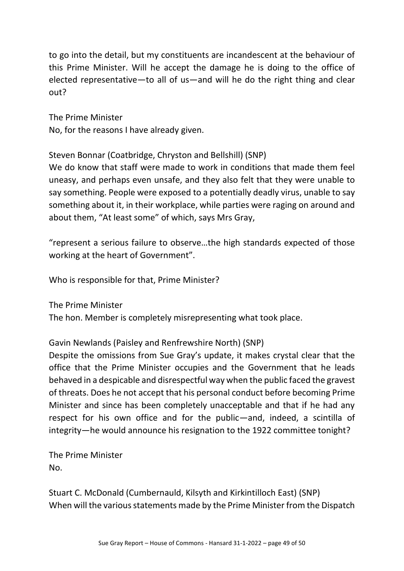to go into the detail, but my constituents are incandescent at the behaviour of this Prime Minister. Will he accept the damage he is doing to the office of elected representative—to all of us—and will he do the right thing and clear out?

The Prime Minister No, for the reasons I have already given.

Steven Bonnar (Coatbridge, Chryston and Bellshill) (SNP)

We do know that staff were made to work in conditions that made them feel uneasy, and perhaps even unsafe, and they also felt that they were unable to say something. People were exposed to a potentially deadly virus, unable to say something about it, in their workplace, while parties were raging on around and about them, "At least some" of which, says Mrs Gray,

"represent a serious failure to observe…the high standards expected of those working at the heart of Government".

Who is responsible for that, Prime Minister?

The Prime Minister

The hon. Member is completely misrepresenting what took place.

Gavin Newlands (Paisley and Renfrewshire North) (SNP)

Despite the omissions from Sue Gray's update, it makes crystal clear that the office that the Prime Minister occupies and the Government that he leads behaved in a despicable and disrespectful way when the public faced the gravest of threats. Does he not accept that his personal conduct before becoming Prime Minister and since has been completely unacceptable and that if he had any respect for his own office and for the public—and, indeed, a scintilla of integrity—he would announce his resignation to the 1922 committee tonight?

The Prime Minister No.

Stuart C. McDonald (Cumbernauld, Kilsyth and Kirkintilloch East) (SNP) When will the various statements made by the Prime Minister from the Dispatch